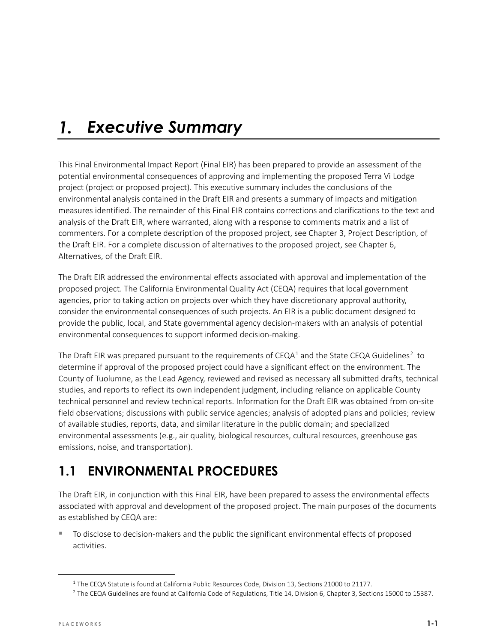#### *Executive Summary*  $\mathbf{1}$ .

This Final Environmental Impact Report (Final EIR) has been prepared to provide an assessment of the potential environmental consequences of approving and implementing the proposed Terra Vi Lodge project (project or proposed project). This executive summary includes the conclusions of the environmental analysis contained in the Draft EIR and presents a summary of impacts and mitigation measures identified. The remainder of this Final EIR contains corrections and clarifications to the text and analysis of the Draft EIR, where warranted, along with a response to comments matrix and a list of commenters. For a complete description of the proposed project, see Chapter 3, Project Description, of the Draft EIR. For a complete discussion of alternatives to the proposed project, see Chapter 6, Alternatives, of the Draft EIR.

The Draft EIR addressed the environmental effects associated with approval and implementation of the proposed project. The California Environmental Quality Act (CEQA) requires that local government agencies, prior to taking action on projects over which they have discretionary approval authority, consider the environmental consequences of such projects. An EIR is a public document designed to provide the public, local, and State governmental agency decision-makers with an analysis of potential environmental consequences to support informed decision-making.

The Draft EIR was prepared pursuant to the requirements of CEQA<sup>[1](#page-0-0)</sup> and the State CEQA Guidelines<sup>[2](#page-0-1)</sup> to determine if approval of the proposed project could have a significant effect on the environment. The County of Tuolumne, as the Lead Agency, reviewed and revised as necessary all submitted drafts, technical studies, and reports to reflect its own independent judgment, including reliance on applicable County technical personnel and review technical reports. Information for the Draft EIR was obtained from on-site field observations; discussions with public service agencies; analysis of adopted plans and policies; review of available studies, reports, data, and similar literature in the public domain; and specialized environmental assessments (e.g., air quality, biological resources, cultural resources, greenhouse gas emissions, noise, and transportation).

# **1.1 ENVIRONMENTAL PROCEDURES**

The Draft EIR, in conjunction with this Final EIR, have been prepared to assess the environmental effects associated with approval and development of the proposed project. The main purposes of the documents as established by CEQA are:

 To disclose to decision-makers and the public the significant environmental effects of proposed activities.

<span id="page-0-0"></span><sup>&</sup>lt;sup>1</sup> The CEQA Statute is found at California Public Resources Code, Division 13, Sections 21000 to 21177.

<span id="page-0-1"></span><sup>&</sup>lt;sup>2</sup> The CEQA Guidelines are found at California Code of Regulations, Title 14, Division 6, Chapter 3, Sections 15000 to 15387.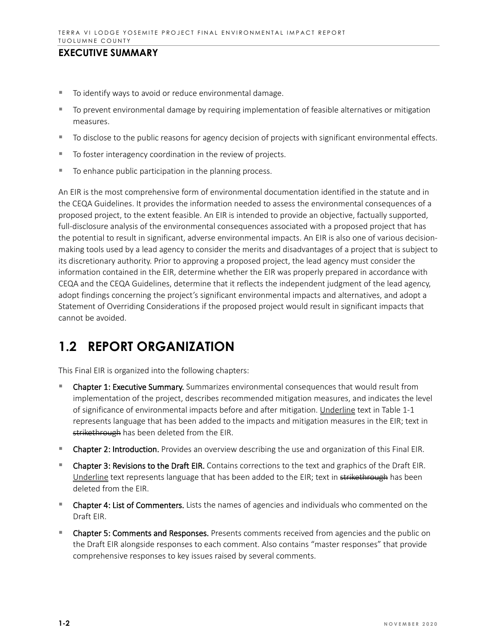- To identify ways to avoid or reduce environmental damage.
- To prevent environmental damage by requiring implementation of feasible alternatives or mitigation measures.
- To disclose to the public reasons for agency decision of projects with significant environmental effects.
- To foster interagency coordination in the review of projects.
- To enhance public participation in the planning process.

An EIR is the most comprehensive form of environmental documentation identified in the statute and in the CEQA Guidelines. It provides the information needed to assess the environmental consequences of a proposed project, to the extent feasible. An EIR is intended to provide an objective, factually supported, full-disclosure analysis of the environmental consequences associated with a proposed project that has the potential to result in significant, adverse environmental impacts. An EIR is also one of various decisionmaking tools used by a lead agency to consider the merits and disadvantages of a project that is subject to its discretionary authority. Prior to approving a proposed project, the lead agency must consider the information contained in the EIR, determine whether the EIR was properly prepared in accordance with CEQA and the CEQA Guidelines, determine that it reflects the independent judgment of the lead agency, adopt findings concerning the project's significant environmental impacts and alternatives, and adopt a Statement of Overriding Considerations if the proposed project would result in significant impacts that cannot be avoided.

# **1.2 REPORT ORGANIZATION**

This Final EIR is organized into the following chapters:

- Chapter 1: Executive Summary. Summarizes environmental consequences that would result from implementation of the project, describes recommended mitigation measures, and indicates the level of significance of environmental impacts before and after mitigation. Underline text in Table 1-1 represents language that has been added to the impacts and mitigation measures in the EIR; text in strikethrough has been deleted from the EIR.
- **Chapter 2: Introduction.** Provides an overview describing the use and organization of this Final EIR.
- Chapter 3: Revisions to the Draft EIR. Contains corrections to the text and graphics of the Draft EIR. Underline text represents language that has been added to the EIR; text in strikethrough has been deleted from the EIR.
- **Chapter 4: List of Commenters.** Lists the names of agencies and individuals who commented on the Draft EIR.
- **Chapter 5: Comments and Responses.** Presents comments received from agencies and the public on the Draft EIR alongside responses to each comment. Also contains "master responses" that provide comprehensive responses to key issues raised by several comments.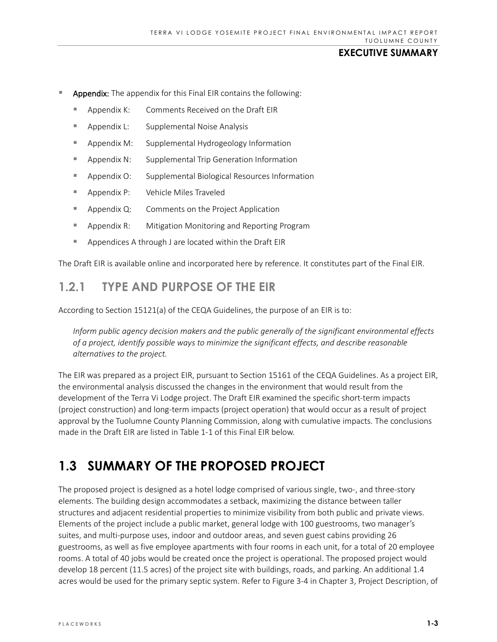- Appendix: The appendix for this Final EIR contains the following:
	- Appendix K: Comments Received on the Draft EIR
	- Appendix L: Supplemental Noise Analysis
	- **Appendix M:** Supplemental Hydrogeology Information
	- **Appendix N:** Supplemental Trip Generation Information
	- Appendix O: Supplemental Biological Resources Information
	- Appendix P: Vehicle Miles Traveled
	- **Appendix Q:** Comments on the Project Application
	- **Appendix R:** Mitigation Monitoring and Reporting Program
	- Appendices A through J are located within the Draft EIR

The Draft EIR is available online and incorporated here by reference. It constitutes part of the Final EIR.

# **1.2.1 TYPE AND PURPOSE OF THE EIR**

According to Section 15121(a) of the CEQA Guidelines, the purpose of an EIR is to:

*Inform public agency decision makers and the public generally of the significant environmental effects of a project, identify possible ways to minimize the significant effects, and describe reasonable alternatives to the project.*

The EIR was prepared as a project EIR, pursuant to Section 15161 of the CEQA Guidelines. As a project EIR, the environmental analysis discussed the changes in the environment that would result from the development of the Terra Vi Lodge project. The Draft EIR examined the specific short-term impacts (project construction) and long-term impacts (project operation) that would occur as a result of project approval by the Tuolumne County Planning Commission, along with cumulative impacts. The conclusions made in the Draft EIR are listed in Table 1-1 of this Final EIR below.

# **1.3 SUMMARY OF THE PROPOSED PROJECT**

The proposed project is designed as a hotel lodge comprised of various single, two-, and three-story elements. The building design accommodates a setback, maximizing the distance between taller structures and adjacent residential properties to minimize visibility from both public and private views. Elements of the project include a public market, general lodge with 100 guestrooms, two manager's suites, and multi-purpose uses, indoor and outdoor areas, and seven guest cabins providing 26 guestrooms, as well as five employee apartments with four rooms in each unit, for a total of 20 employee rooms. A total of 40 jobs would be created once the project is operational. The proposed project would develop 18 percent (11.5 acres) of the project site with buildings, roads, and parking. An additional 1.4 acres would be used for the primary septic system. Refer to Figure 3-4 in Chapter 3, Project Description, of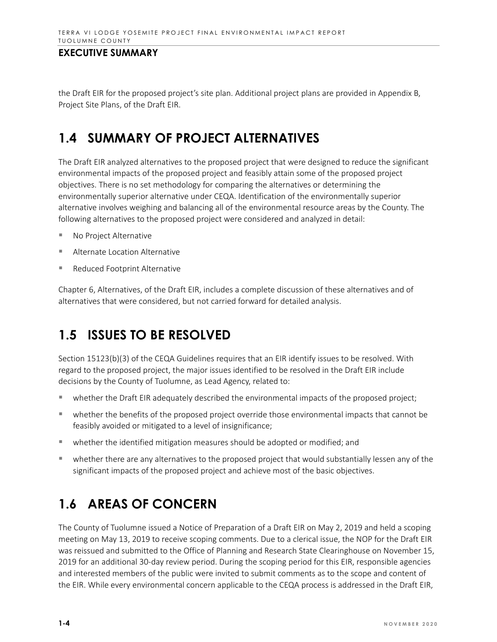the Draft EIR for the proposed project's site plan. Additional project plans are provided in Appendix B, Project Site Plans, of the Draft EIR.

# **1.4 SUMMARY OF PROJECT ALTERNATIVES**

The Draft EIR analyzed alternatives to the proposed project that were designed to reduce the significant environmental impacts of the proposed project and feasibly attain some of the proposed project objectives. There is no set methodology for comparing the alternatives or determining the environmentally superior alternative under CEQA. Identification of the environmentally superior alternative involves weighing and balancing all of the environmental resource areas by the County. The following alternatives to the proposed project were considered and analyzed in detail:

- No Project Alternative
- Alternate Location Alternative
- Reduced Footprint Alternative

Chapter 6, Alternatives, of the Draft EIR, includes a complete discussion of these alternatives and of alternatives that were considered, but not carried forward for detailed analysis.

# **1.5 ISSUES TO BE RESOLVED**

Section 15123(b)(3) of the CEQA Guidelines requires that an EIR identify issues to be resolved. With regard to the proposed project, the major issues identified to be resolved in the Draft EIR include decisions by the County of Tuolumne, as Lead Agency, related to:

- whether the Draft EIR adequately described the environmental impacts of the proposed project;
- whether the benefits of the proposed project override those environmental impacts that cannot be feasibly avoided or mitigated to a level of insignificance;
- whether the identified mitigation measures should be adopted or modified; and
- whether there are any alternatives to the proposed project that would substantially lessen any of the significant impacts of the proposed project and achieve most of the basic objectives.

# **1.6 AREAS OF CONCERN**

The County of Tuolumne issued a Notice of Preparation of a Draft EIR on May 2, 2019 and held a scoping meeting on May 13, 2019 to receive scoping comments. Due to a clerical issue, the NOP for the Draft EIR was reissued and submitted to the Office of Planning and Research State Clearinghouse on November 15, 2019 for an additional 30-day review period. During the scoping period for this EIR, responsible agencies and interested members of the public were invited to submit comments as to the scope and content of the EIR. While every environmental concern applicable to the CEQA process is addressed in the Draft EIR,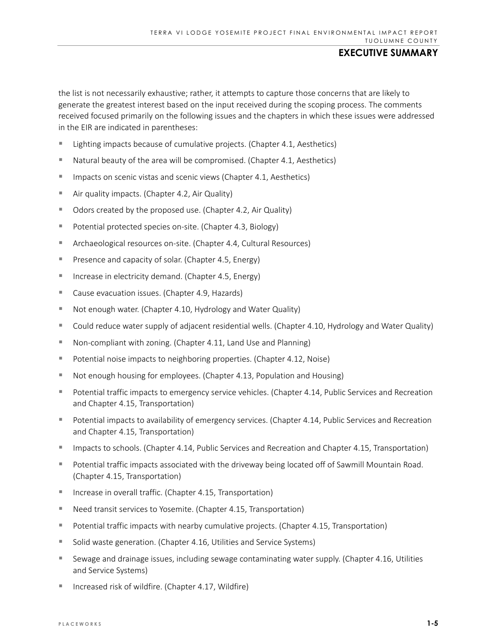the list is not necessarily exhaustive; rather, it attempts to capture those concerns that are likely to generate the greatest interest based on the input received during the scoping process. The comments received focused primarily on the following issues and the chapters in which these issues were addressed in the EIR are indicated in parentheses:

- Lighting impacts because of cumulative projects. (Chapter 4.1, Aesthetics)
- Natural beauty of the area will be compromised. (Chapter 4.1, Aesthetics)
- $\blacksquare$  Impacts on scenic vistas and scenic views (Chapter 4.1, Aesthetics)
- **E** Air quality impacts. (Chapter 4.2, Air Quality)
- Odors created by the proposed use. (Chapter 4.2, Air Quality)
- **Potential protected species on-site. (Chapter 4.3, Biology)**
- Archaeological resources on-site. (Chapter 4.4, Cultural Resources)
- **Presence and capacity of solar. (Chapter 4.5, Energy)**
- Increase in electricity demand. (Chapter 4.5, Energy)
- Cause evacuation issues. (Chapter 4.9, Hazards)
- Not enough water. (Chapter 4.10, Hydrology and Water Quality)
- Could reduce water supply of adjacent residential wells. (Chapter 4.10, Hydrology and Water Quality)
- Non-compliant with zoning. (Chapter 4.11, Land Use and Planning)
- Potential noise impacts to neighboring properties. (Chapter 4.12, Noise)
- Not enough housing for employees. (Chapter 4.13, Population and Housing)
- Potential traffic impacts to emergency service vehicles. (Chapter 4.14, Public Services and Recreation and Chapter 4.15, Transportation)
- Potential impacts to availability of emergency services. (Chapter 4.14, Public Services and Recreation and Chapter 4.15, Transportation)
- Impacts to schools. (Chapter 4.14, Public Services and Recreation and Chapter 4.15, Transportation)
- Potential traffic impacts associated with the driveway being located off of Sawmill Mountain Road. (Chapter 4.15, Transportation)
- Increase in overall traffic. (Chapter 4.15, Transportation)
- Need transit services to Yosemite. (Chapter 4.15, Transportation)
- **Potential traffic impacts with nearby cumulative projects. (Chapter 4.15, Transportation)**
- **Solid waste generation. (Chapter 4.16, Utilities and Service Systems)**
- Sewage and drainage issues, including sewage contaminating water supply. (Chapter 4.16, Utilities and Service Systems)
- Increased risk of wildfire. (Chapter 4.17, Wildfire)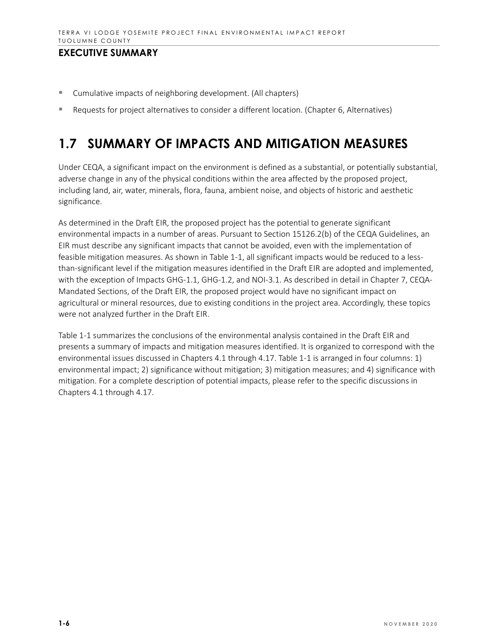- Cumulative impacts of neighboring development. (All chapters)
- **Requests for project alternatives to consider a different location. (Chapter 6, Alternatives)**

# **1.7 SUMMARY OF IMPACTS AND MITIGATION MEASURES**

Under CEQA, a significant impact on the environment is defined as a substantial, or potentially substantial, adverse change in any of the physical conditions within the area affected by the proposed project, including land, air, water, minerals, flora, fauna, ambient noise, and objects of historic and aesthetic significance.

As determined in the Draft EIR, the proposed project has the potential to generate significant environmental impacts in a number of areas. Pursuant to Section 15126.2(b) of the CEQA Guidelines, an EIR must describe any significant impacts that cannot be avoided, even with the implementation of feasible mitigation measures. As shown in Table 1-1, all significant impacts would be reduced to a lessthan-significant level if the mitigation measures identified in the Draft EIR are adopted and implemented, with the exception of Impacts GHG-1.1, GHG-1.2, and NOI-3.1. As described in detail in Chapter 7, CEQA-Mandated Sections, of the Draft EIR, the proposed project would have no significant impact on agricultural or mineral resources, due to existing conditions in the project area. Accordingly, these topics were not analyzed further in the Draft EIR.

Table 1-1 summarizes the conclusions of the environmental analysis contained in the Draft EIR and presents a summary of impacts and mitigation measures identified. It is organized to correspond with the environmental issues discussed in Chapters 4.1 through 4.17. Table 1-1 is arranged in four columns: 1) environmental impact; 2) significance without mitigation; 3) mitigation measures; and 4) significance with mitigation. For a complete description of potential impacts, please refer to the specific discussions in Chapters 4.1 through 4.17.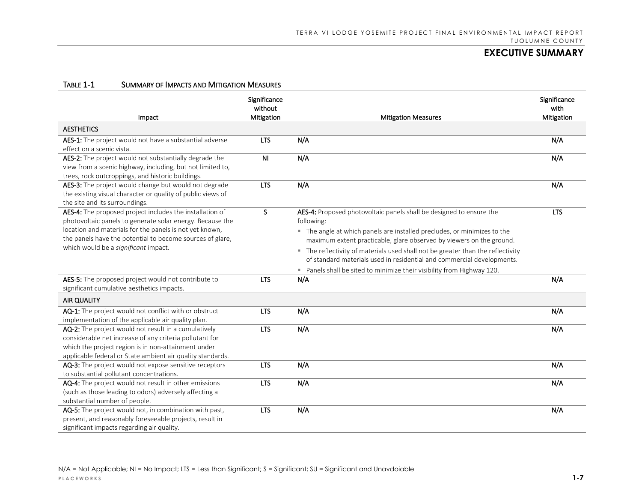| Impact                                                                                                                                                                    | Significance<br>without<br>Mitigation | <b>Mitigation Measures</b>                                                                                                                                | Significance<br>with<br>Mitigation |
|---------------------------------------------------------------------------------------------------------------------------------------------------------------------------|---------------------------------------|-----------------------------------------------------------------------------------------------------------------------------------------------------------|------------------------------------|
| <b>AESTHETICS</b>                                                                                                                                                         |                                       |                                                                                                                                                           |                                    |
| AES-1: The project would not have a substantial adverse                                                                                                                   | <b>LTS</b>                            | N/A                                                                                                                                                       | N/A                                |
| effect on a scenic vista.                                                                                                                                                 |                                       |                                                                                                                                                           |                                    |
| AES-2: The project would not substantially degrade the<br>view from a scenic highway, including, but not limited to,<br>trees, rock outcroppings, and historic buildings. | N <sub>1</sub>                        | N/A                                                                                                                                                       | N/A                                |
| AES-3: The project would change but would not degrade<br>the existing visual character or quality of public views of<br>the site and its surroundings.                    | <b>LTS</b>                            | N/A                                                                                                                                                       | N/A                                |
| AES-4: The proposed project includes the installation of<br>photovoltaic panels to generate solar energy. Because the                                                     | <sub>S</sub>                          | AES-4: Proposed photovoltaic panels shall be designed to ensure the<br>following:                                                                         | <b>LTS</b>                         |
| location and materials for the panels is not yet known,                                                                                                                   |                                       | " The angle at which panels are installed precludes, or minimizes to the                                                                                  |                                    |
| the panels have the potential to become sources of glare,<br>which would be a significant impact.                                                                         |                                       | maximum extent practicable, glare observed by viewers on the ground.                                                                                      |                                    |
|                                                                                                                                                                           |                                       | " The reflectivity of materials used shall not be greater than the reflectivity<br>of standard materials used in residential and commercial developments. |                                    |
|                                                                                                                                                                           |                                       | " Panels shall be sited to minimize their visibility from Highway 120.                                                                                    |                                    |
| AES-5: The proposed project would not contribute to                                                                                                                       | <b>LTS</b>                            | N/A                                                                                                                                                       | N/A                                |
| significant cumulative aesthetics impacts.                                                                                                                                |                                       |                                                                                                                                                           |                                    |
| <b>AIR QUALITY</b>                                                                                                                                                        |                                       |                                                                                                                                                           |                                    |
| AQ-1: The project would not conflict with or obstruct<br>implementation of the applicable air quality plan.                                                               | <b>LTS</b>                            | N/A                                                                                                                                                       | N/A                                |
| AQ-2: The project would not result in a cumulatively                                                                                                                      | <b>LTS</b>                            | N/A                                                                                                                                                       | N/A                                |
| considerable net increase of any criteria pollutant for                                                                                                                   |                                       |                                                                                                                                                           |                                    |
| which the project region is in non-attainment under                                                                                                                       |                                       |                                                                                                                                                           |                                    |
| applicable federal or State ambient air quality standards.                                                                                                                |                                       |                                                                                                                                                           |                                    |
| AQ-3: The project would not expose sensitive receptors<br>to substantial pollutant concentrations.                                                                        | <b>LTS</b>                            | N/A                                                                                                                                                       | N/A                                |
| AQ-4: The project would not result in other emissions                                                                                                                     | <b>LTS</b>                            | N/A                                                                                                                                                       | N/A                                |
| (such as those leading to odors) adversely affecting a                                                                                                                    |                                       |                                                                                                                                                           |                                    |
| substantial number of people.                                                                                                                                             |                                       |                                                                                                                                                           |                                    |
| AQ-5: The project would not, in combination with past,                                                                                                                    | <b>LTS</b>                            | N/A                                                                                                                                                       | N/A                                |
| present, and reasonably foreseeable projects, result in                                                                                                                   |                                       |                                                                                                                                                           |                                    |
| significant impacts regarding air quality.                                                                                                                                |                                       |                                                                                                                                                           |                                    |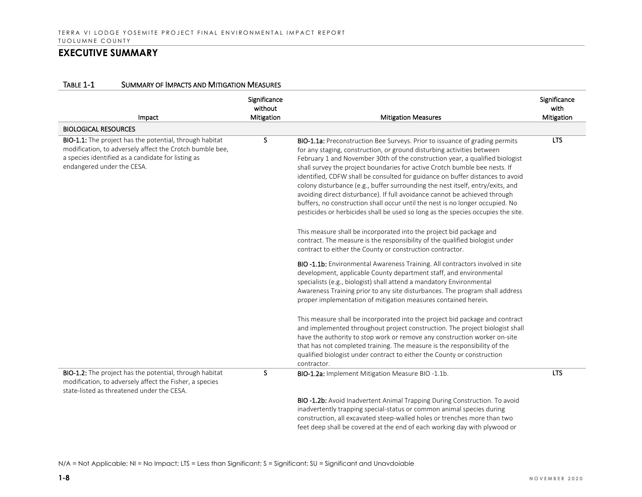|  | TABLE 1-1 | <b>SUMMARY OF IMPACTS AND MITIGATION MEASURES</b> |
|--|-----------|---------------------------------------------------|
|--|-----------|---------------------------------------------------|

| Impact                                                                                                                                                                                                         | Significance<br>without<br>Mitigation | <b>Mitigation Measures</b>                                                                                                                                                                                                                                                                                                                                                                                                                                                                                                                                                                                                                                                                                                                       | Significance<br>with<br>Mitigation |
|----------------------------------------------------------------------------------------------------------------------------------------------------------------------------------------------------------------|---------------------------------------|--------------------------------------------------------------------------------------------------------------------------------------------------------------------------------------------------------------------------------------------------------------------------------------------------------------------------------------------------------------------------------------------------------------------------------------------------------------------------------------------------------------------------------------------------------------------------------------------------------------------------------------------------------------------------------------------------------------------------------------------------|------------------------------------|
| <b>BIOLOGICAL RESOURCES</b>                                                                                                                                                                                    |                                       |                                                                                                                                                                                                                                                                                                                                                                                                                                                                                                                                                                                                                                                                                                                                                  |                                    |
| <b>BIO-1.1:</b> The project has the potential, through habitat<br>modification, to adversely affect the Crotch bumble bee,<br>a species identified as a candidate for listing as<br>endangered under the CESA. | S                                     | <b>BIO-1.1a:</b> Preconstruction Bee Surveys. Prior to issuance of grading permits<br>for any staging, construction, or ground disturbing activities between<br>February 1 and November 30th of the construction year, a qualified biologist<br>shall survey the project boundaries for active Crotch bumble bee nests. If<br>identified, CDFW shall be consulted for guidance on buffer distances to avoid<br>colony disturbance (e.g., buffer surrounding the nest itself, entry/exits, and<br>avoiding direct disturbance). If full avoidance cannot be achieved through<br>buffers, no construction shall occur until the nest is no longer occupied. No<br>pesticides or herbicides shall be used so long as the species occupies the site. | <b>LTS</b>                         |
|                                                                                                                                                                                                                |                                       | This measure shall be incorporated into the project bid package and<br>contract. The measure is the responsibility of the qualified biologist under<br>contract to either the County or construction contractor.                                                                                                                                                                                                                                                                                                                                                                                                                                                                                                                                 |                                    |
|                                                                                                                                                                                                                |                                       | BIO -1.1b: Environmental Awareness Training. All contractors involved in site<br>development, applicable County department staff, and environmental<br>specialists (e.g., biologist) shall attend a mandatory Environmental<br>Awareness Training prior to any site disturbances. The program shall address<br>proper implementation of mitigation measures contained herein.                                                                                                                                                                                                                                                                                                                                                                    |                                    |
|                                                                                                                                                                                                                |                                       | This measure shall be incorporated into the project bid package and contract<br>and implemented throughout project construction. The project biologist shall<br>have the authority to stop work or remove any construction worker on-site<br>that has not completed training. The measure is the responsibility of the<br>qualified biologist under contract to either the County or construction<br>contractor.                                                                                                                                                                                                                                                                                                                                 |                                    |
| BIO-1.2: The project has the potential, through habitat<br>modification, to adversely affect the Fisher, a species<br>state-listed as threatened under the CESA.                                               | S                                     | BIO-1.2a: Implement Mitigation Measure BIO-1.1b.                                                                                                                                                                                                                                                                                                                                                                                                                                                                                                                                                                                                                                                                                                 | <b>LTS</b>                         |
|                                                                                                                                                                                                                |                                       | BIO -1.2b: Avoid Inadvertent Animal Trapping During Construction. To avoid<br>inadvertently trapping special-status or common animal species during<br>construction, all excavated steep-walled holes or trenches more than two<br>feet deep shall be covered at the end of each working day with plywood or                                                                                                                                                                                                                                                                                                                                                                                                                                     |                                    |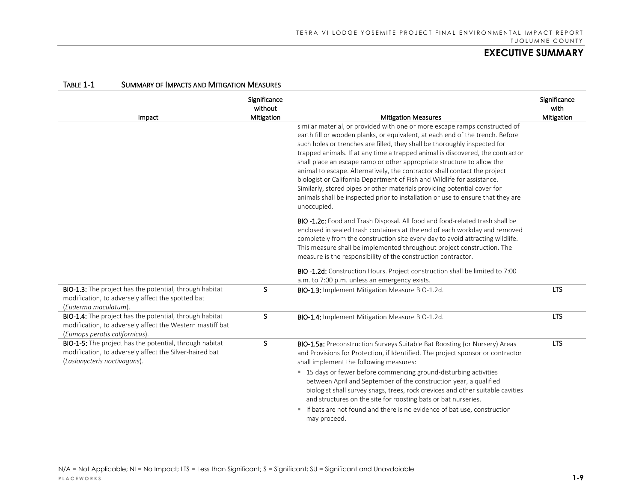| Impact                                                                                                                                                 | Significance<br>without<br><b>Mitigation</b> | <b>Mitigation Measures</b>                                                                                                                                                                                                                                                                                                                                                                                                                                                                                                                                                                                                                                                                                                                 | Significance<br>with<br>Mitigation |
|--------------------------------------------------------------------------------------------------------------------------------------------------------|----------------------------------------------|--------------------------------------------------------------------------------------------------------------------------------------------------------------------------------------------------------------------------------------------------------------------------------------------------------------------------------------------------------------------------------------------------------------------------------------------------------------------------------------------------------------------------------------------------------------------------------------------------------------------------------------------------------------------------------------------------------------------------------------------|------------------------------------|
|                                                                                                                                                        |                                              | similar material, or provided with one or more escape ramps constructed of<br>earth fill or wooden planks, or equivalent, at each end of the trench. Before<br>such holes or trenches are filled, they shall be thoroughly inspected for<br>trapped animals. If at any time a trapped animal is discovered, the contractor<br>shall place an escape ramp or other appropriate structure to allow the<br>animal to escape. Alternatively, the contractor shall contact the project<br>biologist or California Department of Fish and Wildlife for assistance.<br>Similarly, stored pipes or other materials providing potential cover for<br>animals shall be inspected prior to installation or use to ensure that they are<br>unoccupied. |                                    |
|                                                                                                                                                        |                                              | <b>BIO -1.2c:</b> Food and Trash Disposal. All food and food-related trash shall be<br>enclosed in sealed trash containers at the end of each workday and removed<br>completely from the construction site every day to avoid attracting wildlife.<br>This measure shall be implemented throughout project construction. The<br>measure is the responsibility of the construction contractor.                                                                                                                                                                                                                                                                                                                                              |                                    |
|                                                                                                                                                        |                                              | BIO -1.2d: Construction Hours. Project construction shall be limited to 7:00<br>a.m. to 7:00 p.m. unless an emergency exists.                                                                                                                                                                                                                                                                                                                                                                                                                                                                                                                                                                                                              |                                    |
| BIO-1.3: The project has the potential, through habitat<br>modification, to adversely affect the spotted bat<br>(Euderma maculatum).                   | S.                                           | <b>BIO-1.3:</b> Implement Mitigation Measure BIO-1.2d.                                                                                                                                                                                                                                                                                                                                                                                                                                                                                                                                                                                                                                                                                     | <b>LTS</b>                         |
| BIO-1.4: The project has the potential, through habitat<br>modification, to adversely affect the Western mastiff bat<br>(Eumops perotis californicus). | S.                                           | BIO-1.4: Implement Mitigation Measure BIO-1.2d.                                                                                                                                                                                                                                                                                                                                                                                                                                                                                                                                                                                                                                                                                            | <b>LTS</b>                         |
| BIO-1-5: The project has the potential, through habitat<br>modification, to adversely affect the Silver-haired bat<br>(Lasionycteris noctivagans).     | S                                            | BIO-1.5a: Preconstruction Surveys Suitable Bat Roosting (or Nursery) Areas<br>and Provisions for Protection, if Identified. The project sponsor or contractor<br>shall implement the following measures:                                                                                                                                                                                                                                                                                                                                                                                                                                                                                                                                   | <b>LTS</b>                         |
|                                                                                                                                                        |                                              | " 15 days or fewer before commencing ground-disturbing activities<br>between April and September of the construction year, a qualified<br>biologist shall survey snags, trees, rock crevices and other suitable cavities<br>and structures on the site for roosting bats or bat nurseries.                                                                                                                                                                                                                                                                                                                                                                                                                                                 |                                    |
|                                                                                                                                                        |                                              | If bats are not found and there is no evidence of bat use, construction<br>m.<br>may proceed.                                                                                                                                                                                                                                                                                                                                                                                                                                                                                                                                                                                                                                              |                                    |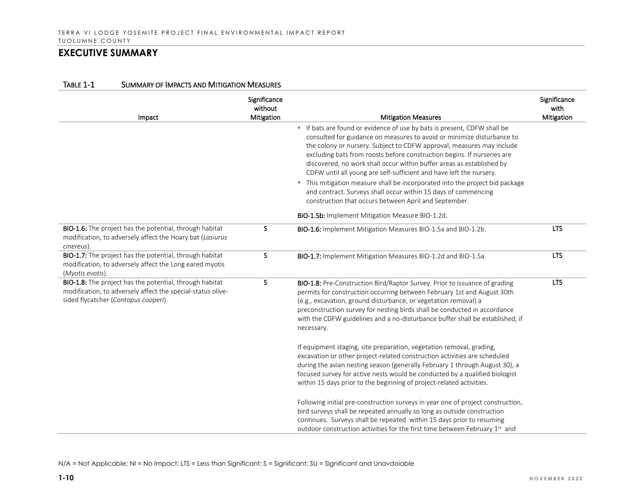| Impact                                                                                                                                                         | Significance<br>without<br><b>Mitigation</b> | <b>Mitigation Measures</b>                                                                                                                                                                                                                                                                                                                                                                                                                           | Significance<br>with<br>Mitigation |
|----------------------------------------------------------------------------------------------------------------------------------------------------------------|----------------------------------------------|------------------------------------------------------------------------------------------------------------------------------------------------------------------------------------------------------------------------------------------------------------------------------------------------------------------------------------------------------------------------------------------------------------------------------------------------------|------------------------------------|
|                                                                                                                                                                |                                              | If bats are found or evidence of use by bats is present, CDFW shall be<br>consulted for guidance on measures to avoid or minimize disturbance to<br>the colony or nursery. Subject to CDFW approval, measures may include<br>excluding bats from roosts before construction begins. If nurseries are<br>discovered, no work shall occur within buffer areas as established by<br>CDFW until all young are self-sufficient and have left the nursery. |                                    |
|                                                                                                                                                                |                                              | " This mitigation measure shall be incorporated into the project bid package<br>and contract. Surveys shall occur within 15 days of commencing<br>construction that occurs between April and September.                                                                                                                                                                                                                                              |                                    |
|                                                                                                                                                                |                                              | BIO-1.5b: Implement Mitigation Measure BIO-1.2d.                                                                                                                                                                                                                                                                                                                                                                                                     |                                    |
| BIO-1.6: The project has the potential, through habitat<br>modification, to adversely affect the Hoary bat (Lasiurus<br>cinereus).                             | s                                            | BIO-1.6: Implement Mitigation Measures BIO-1.5a and BIO-1.2b.                                                                                                                                                                                                                                                                                                                                                                                        | <b>LTS</b>                         |
| BIO-1.7: The project has the potential, through habitat<br>modification, to adversely affect the Long eared myotis<br>(Myotis evotis).                         | S.                                           | BIO-1.7: Implement Mitigation Measures BIO-1.2d and BIO-1.5a.                                                                                                                                                                                                                                                                                                                                                                                        | <b>LTS</b>                         |
| BIO-1.8: The project has the potential, through habitat<br>modification, to adversely affect the special-status olive-<br>sided flycatcher (Contopus cooperi). | S                                            | BIO-1.8: Pre-Construction Bird/Raptor Survey. Prior to issuance of grading<br>permits for construction occurring between February 1st and August 30th<br>(e.g., excavation, ground disturbance, or vegetation removal) a<br>preconstruction survey for nesting birds shall be conducted in accordance<br>with the CDFW guidelines and a no-disturbance buffer shall be established, if<br>necessary.                                                 | <b>LTS</b>                         |
|                                                                                                                                                                |                                              | If equipment staging, site preparation, vegetation removal, grading,<br>excavation or other project-related construction activities are scheduled<br>during the avian nesting season (generally February 1 through August 30), a<br>focused survey for active nests would be conducted by a qualified biologist<br>within 15 days prior to the beginning of project-related activities.                                                              |                                    |
|                                                                                                                                                                |                                              | Following initial pre-construction surveys in year one of project construction,<br>bird surveys shall be repeated annually so long as outside construction<br>continues. Surveys shall be repeated within 15 days prior to resuming<br>outdoor construction activities for the first time between February 1 <sup>st</sup> and                                                                                                                       |                                    |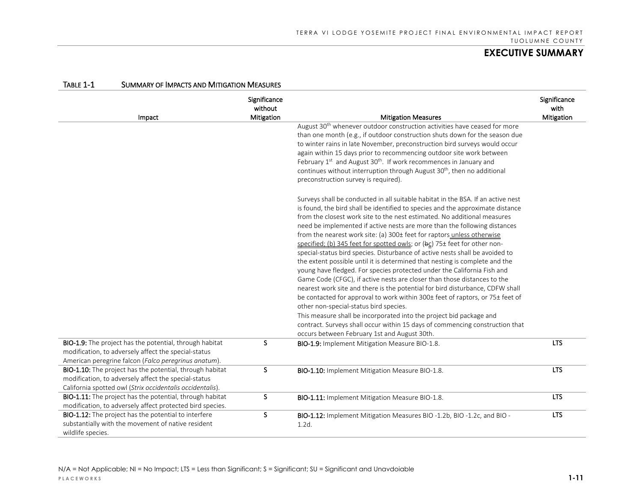|                                                                                                                                                                                      | Significance<br>without |                                                                                                                                                                                                                                                                                                                                                                                                                                                                                                                                                                                                                                                                                                                                                                                                                                                                                                                                                                                                                                                                                                                                                                                                                             | Significance<br>with |
|--------------------------------------------------------------------------------------------------------------------------------------------------------------------------------------|-------------------------|-----------------------------------------------------------------------------------------------------------------------------------------------------------------------------------------------------------------------------------------------------------------------------------------------------------------------------------------------------------------------------------------------------------------------------------------------------------------------------------------------------------------------------------------------------------------------------------------------------------------------------------------------------------------------------------------------------------------------------------------------------------------------------------------------------------------------------------------------------------------------------------------------------------------------------------------------------------------------------------------------------------------------------------------------------------------------------------------------------------------------------------------------------------------------------------------------------------------------------|----------------------|
| Impact                                                                                                                                                                               | Mitigation              | <b>Mitigation Measures</b>                                                                                                                                                                                                                                                                                                                                                                                                                                                                                                                                                                                                                                                                                                                                                                                                                                                                                                                                                                                                                                                                                                                                                                                                  | Mitigation           |
|                                                                                                                                                                                      |                         | August 30 <sup>th</sup> whenever outdoor construction activities have ceased for more<br>than one month (e.g., if outdoor construction shuts down for the season due<br>to winter rains in late November, preconstruction bird surveys would occur<br>again within 15 days prior to recommencing outdoor site work between<br>February 1st and August 30 <sup>th</sup> . If work recommences in January and<br>continues without interruption through August 30 <sup>th</sup> , then no additional<br>preconstruction survey is required).                                                                                                                                                                                                                                                                                                                                                                                                                                                                                                                                                                                                                                                                                  |                      |
|                                                                                                                                                                                      |                         | Surveys shall be conducted in all suitable habitat in the BSA. If an active nest<br>is found, the bird shall be identified to species and the approximate distance<br>from the closest work site to the nest estimated. No additional measures<br>need be implemented if active nests are more than the following distances<br>from the nearest work site: (a) 300± feet for raptors unless otherwise<br>specified; (b) 345 feet for spotted owls; or (bc) 75± feet for other non-<br>special-status bird species. Disturbance of active nests shall be avoided to<br>the extent possible until it is determined that nesting is complete and the<br>young have fledged. For species protected under the California Fish and<br>Game Code (CFGC), if active nests are closer than those distances to the<br>nearest work site and there is the potential for bird disturbance, CDFW shall<br>be contacted for approval to work within 300± feet of raptors, or 75± feet of<br>other non-special-status bird species.<br>This measure shall be incorporated into the project bid package and<br>contract. Surveys shall occur within 15 days of commencing construction that<br>occurs between February 1st and August 30th. |                      |
| BIO-1.9: The project has the potential, through habitat<br>modification, to adversely affect the special-status<br>American peregrine falcon (Falco peregrinus anatum).              | S.                      | BIO-1.9: Implement Mitigation Measure BIO-1.8.                                                                                                                                                                                                                                                                                                                                                                                                                                                                                                                                                                                                                                                                                                                                                                                                                                                                                                                                                                                                                                                                                                                                                                              | <b>LTS</b>           |
| <b>BIO-1.10:</b> The project has the potential, through habitat<br>modification, to adversely affect the special-status<br>California spotted owl (Strix occidentalis occidentalis). | S                       | <b>BIO-1.10:</b> Implement Mitigation Measure BIO-1.8.                                                                                                                                                                                                                                                                                                                                                                                                                                                                                                                                                                                                                                                                                                                                                                                                                                                                                                                                                                                                                                                                                                                                                                      | <b>LTS</b>           |
| BIO-1.11: The project has the potential, through habitat<br>modification, to adversely affect protected bird species.                                                                | S                       | <b>BIO-1.11:</b> Implement Mitigation Measure BIO-1.8.                                                                                                                                                                                                                                                                                                                                                                                                                                                                                                                                                                                                                                                                                                                                                                                                                                                                                                                                                                                                                                                                                                                                                                      | <b>LTS</b>           |
| BIO-1.12: The project has the potential to interfere<br>substantially with the movement of native resident<br>wildlife species.                                                      | S                       | BIO-1.12: Implement Mitigation Measures BIO -1.2b, BIO -1.2c, and BIO -<br>1.2d.                                                                                                                                                                                                                                                                                                                                                                                                                                                                                                                                                                                                                                                                                                                                                                                                                                                                                                                                                                                                                                                                                                                                            | <b>LTS</b>           |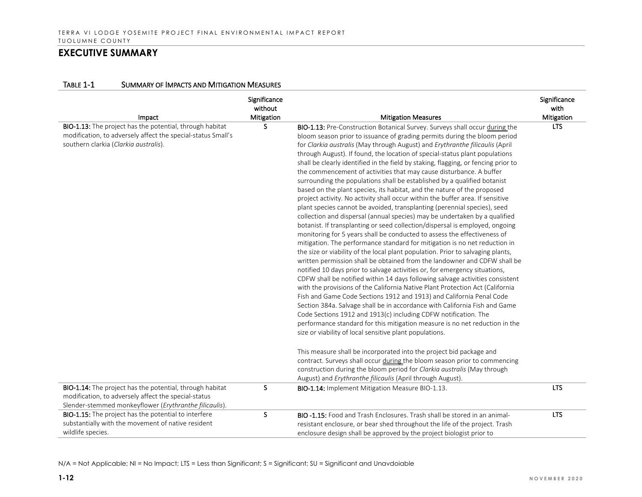#### TABLE 1-1 SUMMARY OF IMPACTS AND MITIGATION MEASURES

| Impact                                                                                                                                                                            | Significance<br>without<br>Mitigation | <b>Mitigation Measures</b>                                                                                                                                                                                                                                                                                                                                                                                                                                                                                                                                                                                                                                                                                                                                                                                                                                                                                                                                                                                                                                                                                                                                                                                                                                                                                                                                                                                                                                                                                                                                                                                                                                                                                                                                                                                                                                                                                                                                                                                                                                                                                                                                                                                               | Significance<br>with<br>Mitigation |
|-----------------------------------------------------------------------------------------------------------------------------------------------------------------------------------|---------------------------------------|--------------------------------------------------------------------------------------------------------------------------------------------------------------------------------------------------------------------------------------------------------------------------------------------------------------------------------------------------------------------------------------------------------------------------------------------------------------------------------------------------------------------------------------------------------------------------------------------------------------------------------------------------------------------------------------------------------------------------------------------------------------------------------------------------------------------------------------------------------------------------------------------------------------------------------------------------------------------------------------------------------------------------------------------------------------------------------------------------------------------------------------------------------------------------------------------------------------------------------------------------------------------------------------------------------------------------------------------------------------------------------------------------------------------------------------------------------------------------------------------------------------------------------------------------------------------------------------------------------------------------------------------------------------------------------------------------------------------------------------------------------------------------------------------------------------------------------------------------------------------------------------------------------------------------------------------------------------------------------------------------------------------------------------------------------------------------------------------------------------------------------------------------------------------------------------------------------------------------|------------------------------------|
| BIO-1.13: The project has the potential, through habitat<br>modification, to adversely affect the special-status Small's<br>southern clarkia (Clarkia australis).                 | S.                                    | <b>BIO-1.13:</b> Pre-Construction Botanical Survey. Surveys shall occur during the<br>bloom season prior to issuance of grading permits during the bloom period<br>for Clarkia australis (May through August) and Erythranthe filicaulis (April<br>through August). If found, the location of special-status plant populations<br>shall be clearly identified in the field by staking, flagging, or fencing prior to<br>the commencement of activities that may cause disturbance. A buffer<br>surrounding the populations shall be established by a qualified botanist<br>based on the plant species, its habitat, and the nature of the proposed<br>project activity. No activity shall occur within the buffer area. If sensitive<br>plant species cannot be avoided, transplanting (perennial species), seed<br>collection and dispersal (annual species) may be undertaken by a qualified<br>botanist. If transplanting or seed collection/dispersal is employed, ongoing<br>monitoring for 5 years shall be conducted to assess the effectiveness of<br>mitigation. The performance standard for mitigation is no net reduction in<br>the size or viability of the local plant population. Prior to salvaging plants,<br>written permission shall be obtained from the landowner and CDFW shall be<br>notified 10 days prior to salvage activities or, for emergency situations,<br>CDFW shall be notified within 14 days following salvage activities consistent<br>with the provisions of the California Native Plant Protection Act (California<br>Fish and Game Code Sections 1912 and 1913) and California Penal Code<br>Section 384a. Salvage shall be in accordance with California Fish and Game<br>Code Sections 1912 and 1913(c) including CDFW notification. The<br>performance standard for this mitigation measure is no net reduction in the<br>size or viability of local sensitive plant populations.<br>This measure shall be incorporated into the project bid package and<br>contract. Surveys shall occur during the bloom season prior to commencing<br>construction during the bloom period for Clarkia australis (May through<br>August) and Erythranthe filicaulis (April through August). | <b>LTS</b>                         |
| <b>BIO-1.14:</b> The project has the potential, through habitat<br>modification, to adversely affect the special-status<br>Slender-stemmed monkeyflower (Erythranthe filicaulis). | S                                     | BIO-1.14: Implement Mitigation Measure BIO-1.13.                                                                                                                                                                                                                                                                                                                                                                                                                                                                                                                                                                                                                                                                                                                                                                                                                                                                                                                                                                                                                                                                                                                                                                                                                                                                                                                                                                                                                                                                                                                                                                                                                                                                                                                                                                                                                                                                                                                                                                                                                                                                                                                                                                         | <b>LTS</b>                         |
| BIO-1.15: The project has the potential to interfere<br>substantially with the movement of native resident<br>wildlife species.                                                   | S                                     | <b>BIO -1.15:</b> Food and Trash Enclosures. Trash shall be stored in an animal-<br>resistant enclosure, or bear shed throughout the life of the project. Trash<br>enclosure design shall be approved by the project biologist prior to                                                                                                                                                                                                                                                                                                                                                                                                                                                                                                                                                                                                                                                                                                                                                                                                                                                                                                                                                                                                                                                                                                                                                                                                                                                                                                                                                                                                                                                                                                                                                                                                                                                                                                                                                                                                                                                                                                                                                                                  | <b>LTS</b>                         |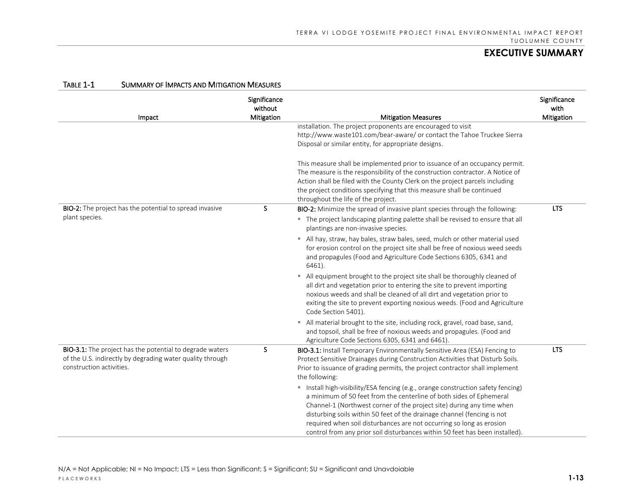| TABLE 1-1<br><b>SUMMARY OF IMPACTS AND MITIGATION MEASURES</b>                                                                                           |                                       |                                                                                                                                                                                                                                                                                                                                                                                                                                                                     |                                    |
|----------------------------------------------------------------------------------------------------------------------------------------------------------|---------------------------------------|---------------------------------------------------------------------------------------------------------------------------------------------------------------------------------------------------------------------------------------------------------------------------------------------------------------------------------------------------------------------------------------------------------------------------------------------------------------------|------------------------------------|
| Impact                                                                                                                                                   | Significance<br>without<br>Mitigation | <b>Mitigation Measures</b>                                                                                                                                                                                                                                                                                                                                                                                                                                          | Significance<br>with<br>Mitigation |
|                                                                                                                                                          |                                       | installation. The project proponents are encouraged to visit                                                                                                                                                                                                                                                                                                                                                                                                        |                                    |
|                                                                                                                                                          |                                       | http://www.waste101.com/bear-aware/ or contact the Tahoe Truckee Sierra                                                                                                                                                                                                                                                                                                                                                                                             |                                    |
|                                                                                                                                                          |                                       | Disposal or similar entity, for appropriate designs.                                                                                                                                                                                                                                                                                                                                                                                                                |                                    |
|                                                                                                                                                          |                                       | This measure shall be implemented prior to issuance of an occupancy permit.<br>The measure is the responsibility of the construction contractor. A Notice of<br>Action shall be filed with the County Clerk on the project parcels including<br>the project conditions specifying that this measure shall be continued<br>throughout the life of the project.                                                                                                       |                                    |
| BIO-2: The project has the potential to spread invasive                                                                                                  | S                                     | BIO-2: Minimize the spread of invasive plant species through the following:                                                                                                                                                                                                                                                                                                                                                                                         | <b>LTS</b>                         |
| plant species.                                                                                                                                           |                                       | • The project landscaping planting palette shall be revised to ensure that all<br>plantings are non-invasive species.                                                                                                                                                                                                                                                                                                                                               |                                    |
|                                                                                                                                                          |                                       | All hay, straw, hay bales, straw bales, seed, mulch or other material used<br>for erosion control on the project site shall be free of noxious weed seeds<br>and propagules (Food and Agriculture Code Sections 6305, 6341 and<br>6461).                                                                                                                                                                                                                            |                                    |
|                                                                                                                                                          |                                       | " All equipment brought to the project site shall be thoroughly cleaned of<br>all dirt and vegetation prior to entering the site to prevent importing<br>noxious weeds and shall be cleaned of all dirt and vegetation prior to<br>exiting the site to prevent exporting noxious weeds. (Food and Agriculture<br>Code Section 5401).                                                                                                                                |                                    |
|                                                                                                                                                          |                                       | " All material brought to the site, including rock, gravel, road base, sand,<br>and topsoil, shall be free of noxious weeds and propagules. (Food and<br>Agriculture Code Sections 6305, 6341 and 6461).                                                                                                                                                                                                                                                            |                                    |
| <b>BIO-3.1:</b> The project has the potential to degrade waters<br>of the U.S. indirectly by degrading water quality through<br>construction activities. | S                                     | <b>BIO-3.1:</b> Install Temporary Environmentally Sensitive Area (ESA) Fencing to<br>Protect Sensitive Drainages during Construction Activities that Disturb Soils.<br>Prior to issuance of grading permits, the project contractor shall implement<br>the following:                                                                                                                                                                                               | <b>LTS</b>                         |
|                                                                                                                                                          |                                       | " Install high-visibility/ESA fencing (e.g., orange construction safety fencing)<br>a minimum of 50 feet from the centerline of both sides of Ephemeral<br>Channel-1 (Northwest corner of the project site) during any time when<br>disturbing soils within 50 feet of the drainage channel (fencing is not<br>required when soil disturbances are not occurring so long as erosion<br>control from any prior soil disturbances within 50 feet has been installed). |                                    |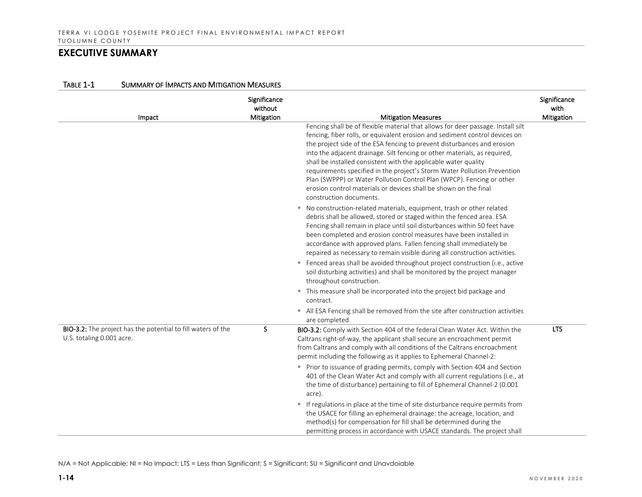| Impact                                                                                    | Significance<br>without<br>Mitigation | <b>Mitigation Measures</b>                                                                                                                                                                                                                                                                                                                                                                                                                                                                                                                                                                                                                                                                                                                                                                                                                                                                                                                                                                                                                                                                                                                                                                                                                                                                                                                                                                 | Significance<br>with<br>Mitigation |
|-------------------------------------------------------------------------------------------|---------------------------------------|--------------------------------------------------------------------------------------------------------------------------------------------------------------------------------------------------------------------------------------------------------------------------------------------------------------------------------------------------------------------------------------------------------------------------------------------------------------------------------------------------------------------------------------------------------------------------------------------------------------------------------------------------------------------------------------------------------------------------------------------------------------------------------------------------------------------------------------------------------------------------------------------------------------------------------------------------------------------------------------------------------------------------------------------------------------------------------------------------------------------------------------------------------------------------------------------------------------------------------------------------------------------------------------------------------------------------------------------------------------------------------------------|------------------------------------|
|                                                                                           |                                       | Fencing shall be of flexible material that allows for deer passage. Install silt<br>fencing, fiber rolls, or equivalent erosion and sediment control devices on<br>the project side of the ESA fencing to prevent disturbances and erosion<br>into the adjacent drainage. Silt fencing or other materials, as required,<br>shall be installed consistent with the applicable water quality<br>requirements specified in the project's Storm Water Pollution Prevention<br>Plan (SWPPP) or Water Pollution Control Plan (WPCP). Fencing or other<br>erosion control materials or devices shall be shown on the final<br>construction documents.<br>" No construction-related materials, equipment, trash or other related<br>debris shall be allowed, stored or staged within the fenced area. ESA<br>Fencing shall remain in place until soil disturbances within 50 feet have<br>been completed and erosion control measures have been installed in<br>accordance with approved plans. Fallen fencing shall immediately be<br>repaired as necessary to remain visible during all construction activities.<br>" Fenced areas shall be avoided throughout project construction (i.e., active<br>soil disturbing activities) and shall be monitored by the project manager<br>throughout construction.<br>" This measure shall be incorporated into the project bid package and<br>contract. |                                    |
|                                                                                           |                                       | All ESA Fencing shall be removed from the site after construction activities<br>are completed.                                                                                                                                                                                                                                                                                                                                                                                                                                                                                                                                                                                                                                                                                                                                                                                                                                                                                                                                                                                                                                                                                                                                                                                                                                                                                             |                                    |
| BIO-3.2: The project has the potential to fill waters of the<br>U.S. totaling 0.001 acre. | S                                     | BIO-3.2: Comply with Section 404 of the federal Clean Water Act. Within the<br>Caltrans right-of-way, the applicant shall secure an encroachment permit<br>from Caltrans and comply with all conditions of the Caltrans encroachment<br>permit including the following as it applies to Ephemeral Channel-2:<br>Prior to issuance of grading permits, comply with Section 404 and Section<br>401 of the Clean Water Act and comply with all current regulations (i.e., at<br>the time of disturbance) pertaining to fill of Ephemeral Channel-2 (0.001<br>acre).<br>If regulations in place at the time of site disturbance require permits from                                                                                                                                                                                                                                                                                                                                                                                                                                                                                                                                                                                                                                                                                                                                           | <b>LTS</b>                         |
|                                                                                           |                                       | the USACE for filling an ephemeral drainage: the acreage, location, and<br>method(s) for compensation for fill shall be determined during the<br>permitting process in accordance with USACE standards. The project shall                                                                                                                                                                                                                                                                                                                                                                                                                                                                                                                                                                                                                                                                                                                                                                                                                                                                                                                                                                                                                                                                                                                                                                  |                                    |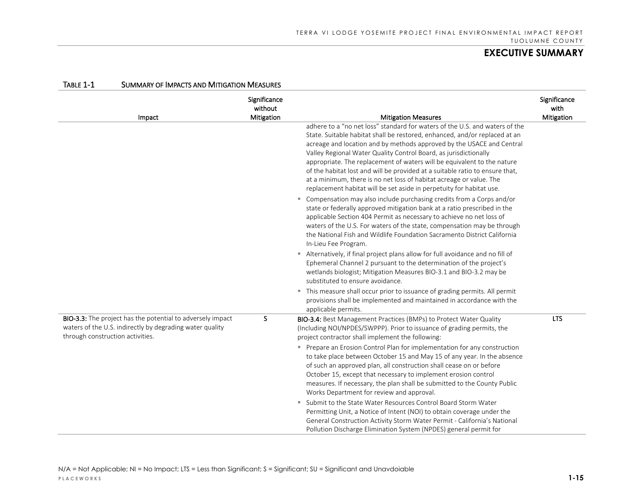|                                                                                                                                                                   | Significance<br>without |                                                                                                                                                                                                                                                                                                                                                                                                                                                                                                                                                                                                                                        | Significance<br>with |
|-------------------------------------------------------------------------------------------------------------------------------------------------------------------|-------------------------|----------------------------------------------------------------------------------------------------------------------------------------------------------------------------------------------------------------------------------------------------------------------------------------------------------------------------------------------------------------------------------------------------------------------------------------------------------------------------------------------------------------------------------------------------------------------------------------------------------------------------------------|----------------------|
| Impact                                                                                                                                                            | Mitigation              | <b>Mitigation Measures</b>                                                                                                                                                                                                                                                                                                                                                                                                                                                                                                                                                                                                             | Mitigation           |
|                                                                                                                                                                   |                         | adhere to a "no net loss" standard for waters of the U.S. and waters of the<br>State. Suitable habitat shall be restored, enhanced, and/or replaced at an<br>acreage and location and by methods approved by the USACE and Central<br>Valley Regional Water Quality Control Board, as jurisdictionally<br>appropriate. The replacement of waters will be equivalent to the nature<br>of the habitat lost and will be provided at a suitable ratio to ensure that,<br>at a minimum, there is no net loss of habitat acreage or value. The<br>replacement habitat will be set aside in perpetuity for habitat use.                       |                      |
|                                                                                                                                                                   |                         | • Compensation may also include purchasing credits from a Corps and/or<br>state or federally approved mitigation bank at a ratio prescribed in the<br>applicable Section 404 Permit as necessary to achieve no net loss of<br>waters of the U.S. For waters of the state, compensation may be through<br>the National Fish and Wildlife Foundation Sacramento District California<br>In-Lieu Fee Program.<br>Alternatively, if final project plans allow for full avoidance and no fill of<br>Ephemeral Channel 2 pursuant to the determination of the project's<br>wetlands biologist; Mitigation Measures BIO-3.1 and BIO-3.2 may be |                      |
|                                                                                                                                                                   |                         | substituted to ensure avoidance.<br>• This measure shall occur prior to issuance of grading permits. All permit<br>provisions shall be implemented and maintained in accordance with the<br>applicable permits.                                                                                                                                                                                                                                                                                                                                                                                                                        |                      |
| <b>BIO-3.3:</b> The project has the potential to adversely impact<br>waters of the U.S. indirectly by degrading water quality<br>through construction activities. | S                       | BIO-3.4: Best Management Practices (BMPs) to Protect Water Quality<br>(Including NOI/NPDES/SWPPP). Prior to issuance of grading permits, the<br>project contractor shall implement the following:                                                                                                                                                                                                                                                                                                                                                                                                                                      | <b>LTS</b>           |
|                                                                                                                                                                   |                         | • Prepare an Erosion Control Plan for implementation for any construction<br>to take place between October 15 and May 15 of any year. In the absence<br>of such an approved plan, all construction shall cease on or before<br>October 15, except that necessary to implement erosion control<br>measures. If necessary, the plan shall be submitted to the County Public<br>Works Department for review and approval.                                                                                                                                                                                                                 |                      |
|                                                                                                                                                                   |                         | ■ Submit to the State Water Resources Control Board Storm Water<br>Permitting Unit, a Notice of Intent (NOI) to obtain coverage under the<br>General Construction Activity Storm Water Permit - California's National<br>Pollution Discharge Elimination System (NPDES) general permit for                                                                                                                                                                                                                                                                                                                                             |                      |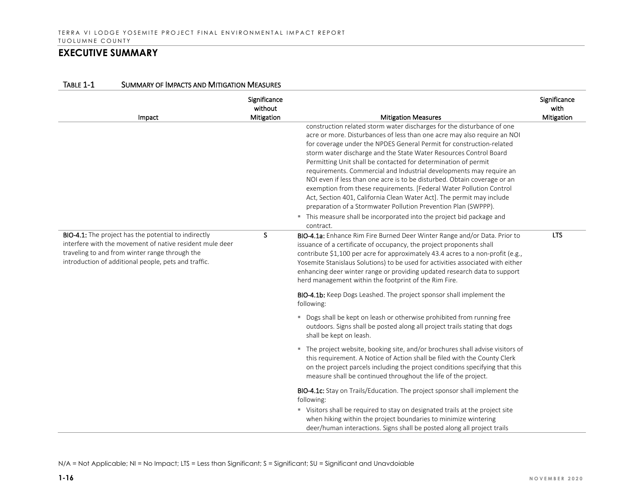| Impact                                                                                                                                                                                                                     | Significance<br>without<br>Mitigation | <b>Mitigation Measures</b>                                                                                                                                                                                                                                                                                                                                                                                                                                                                                                                                                                                                                                                                                                                                                                                                   | Significance<br>with<br>Mitigation |
|----------------------------------------------------------------------------------------------------------------------------------------------------------------------------------------------------------------------------|---------------------------------------|------------------------------------------------------------------------------------------------------------------------------------------------------------------------------------------------------------------------------------------------------------------------------------------------------------------------------------------------------------------------------------------------------------------------------------------------------------------------------------------------------------------------------------------------------------------------------------------------------------------------------------------------------------------------------------------------------------------------------------------------------------------------------------------------------------------------------|------------------------------------|
|                                                                                                                                                                                                                            |                                       | construction related storm water discharges for the disturbance of one<br>acre or more. Disturbances of less than one acre may also require an NOI<br>for coverage under the NPDES General Permit for construction-related<br>storm water discharge and the State Water Resources Control Board<br>Permitting Unit shall be contacted for determination of permit<br>requirements. Commercial and Industrial developments may require an<br>NOI even if less than one acre is to be disturbed. Obtain coverage or an<br>exemption from these requirements. [Federal Water Pollution Control<br>Act, Section 401, California Clean Water Act]. The permit may include<br>preparation of a Stormwater Pollution Prevention Plan (SWPPP).<br>" This measure shall be incorporated into the project bid package and<br>contract. |                                    |
| BIO-4.1: The project has the potential to indirectly<br>interfere with the movement of native resident mule deer<br>traveling to and from winter range through the<br>introduction of additional people, pets and traffic. | S.                                    | BIO-4.1a: Enhance Rim Fire Burned Deer Winter Range and/or Data. Prior to<br>issuance of a certificate of occupancy, the project proponents shall<br>contribute \$1,100 per acre for approximately 43.4 acres to a non-profit (e.g.,<br>Yosemite Stanislaus Solutions) to be used for activities associated with either<br>enhancing deer winter range or providing updated research data to support<br>herd management within the footprint of the Rim Fire.                                                                                                                                                                                                                                                                                                                                                                | <b>LTS</b>                         |
|                                                                                                                                                                                                                            |                                       | BIO-4.1b: Keep Dogs Leashed. The project sponsor shall implement the<br>following:                                                                                                                                                                                                                                                                                                                                                                                                                                                                                                                                                                                                                                                                                                                                           |                                    |
|                                                                                                                                                                                                                            |                                       | " Dogs shall be kept on leash or otherwise prohibited from running free<br>outdoors. Signs shall be posted along all project trails stating that dogs<br>shall be kept on leash.                                                                                                                                                                                                                                                                                                                                                                                                                                                                                                                                                                                                                                             |                                    |
|                                                                                                                                                                                                                            |                                       | " The project website, booking site, and/or brochures shall advise visitors of<br>this requirement. A Notice of Action shall be filed with the County Clerk<br>on the project parcels including the project conditions specifying that this<br>measure shall be continued throughout the life of the project.                                                                                                                                                                                                                                                                                                                                                                                                                                                                                                                |                                    |
|                                                                                                                                                                                                                            |                                       | <b>BIO-4.1c:</b> Stay on Trails/Education. The project sponsor shall implement the<br>following:<br>" Visitors shall be required to stay on designated trails at the project site<br>when hiking within the project boundaries to minimize wintering<br>deer/human interactions. Signs shall be posted along all project trails                                                                                                                                                                                                                                                                                                                                                                                                                                                                                              |                                    |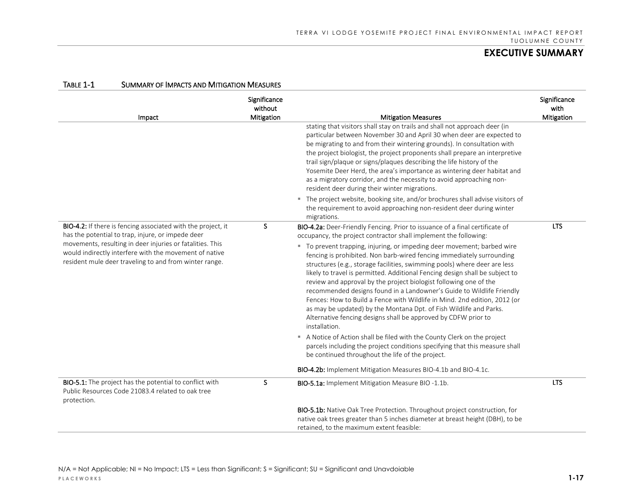| Impact                                                                                                                                                                                                                                                                                             | Significance<br>without<br>Mitigation | <b>Mitigation Measures</b>                                                                                                                                                                                                                                                                                                                                                                                                                                                                                                                                                                                                                                                                                                                                                                                                                                                                                                                                                                                                                                                                                                           | Significance<br>with<br>Mitigation |
|----------------------------------------------------------------------------------------------------------------------------------------------------------------------------------------------------------------------------------------------------------------------------------------------------|---------------------------------------|--------------------------------------------------------------------------------------------------------------------------------------------------------------------------------------------------------------------------------------------------------------------------------------------------------------------------------------------------------------------------------------------------------------------------------------------------------------------------------------------------------------------------------------------------------------------------------------------------------------------------------------------------------------------------------------------------------------------------------------------------------------------------------------------------------------------------------------------------------------------------------------------------------------------------------------------------------------------------------------------------------------------------------------------------------------------------------------------------------------------------------------|------------------------------------|
|                                                                                                                                                                                                                                                                                                    |                                       | stating that visitors shall stay on trails and shall not approach deer (in<br>particular between November 30 and April 30 when deer are expected to<br>be migrating to and from their wintering grounds). In consultation with<br>the project biologist, the project proponents shall prepare an interpretive<br>trail sign/plaque or signs/plaques describing the life history of the<br>Yosemite Deer Herd, the area's importance as wintering deer habitat and<br>as a migratory corridor, and the necessity to avoid approaching non-<br>resident deer during their winter migrations.                                                                                                                                                                                                                                                                                                                                                                                                                                                                                                                                           |                                    |
|                                                                                                                                                                                                                                                                                                    |                                       | The project website, booking site, and/or brochures shall advise visitors of<br>the requirement to avoid approaching non-resident deer during winter<br>migrations.                                                                                                                                                                                                                                                                                                                                                                                                                                                                                                                                                                                                                                                                                                                                                                                                                                                                                                                                                                  |                                    |
| BIO-4.2: If there is fencing associated with the project, it<br>has the potential to trap, injure, or impede deer<br>movements, resulting in deer injuries or fatalities. This<br>would indirectly interfere with the movement of native<br>resident mule deer traveling to and from winter range. | S                                     | BIO-4.2a: Deer-Friendly Fencing. Prior to issuance of a final certificate of<br>occupancy, the project contractor shall implement the following:<br>" To prevent trapping, injuring, or impeding deer movement; barbed wire<br>fencing is prohibited. Non barb-wired fencing immediately surrounding<br>structures (e.g., storage facilities, swimming pools) where deer are less<br>likely to travel is permitted. Additional Fencing design shall be subject to<br>review and approval by the project biologist following one of the<br>recommended designs found in a Landowner's Guide to Wildlife Friendly<br>Fences: How to Build a Fence with Wildlife in Mind. 2nd edition, 2012 (or<br>as may be updated) by the Montana Dpt. of Fish Wildlife and Parks.<br>Alternative fencing designs shall be approved by CDFW prior to<br>installation.<br>A Notice of Action shall be filed with the County Clerk on the project<br>parcels including the project conditions specifying that this measure shall<br>be continued throughout the life of the project.<br>BIO-4.2b: Implement Mitigation Measures BIO-4.1b and BIO-4.1c. | <b>LTS</b>                         |
| <b>BIO-5.1:</b> The project has the potential to conflict with<br>Public Resources Code 21083.4 related to oak tree<br>protection.                                                                                                                                                                 | S                                     | <b>BIO-5.1a:</b> Implement Mitigation Measure BIO-1.1b.<br>BIO-5.1b: Native Oak Tree Protection. Throughout project construction, for                                                                                                                                                                                                                                                                                                                                                                                                                                                                                                                                                                                                                                                                                                                                                                                                                                                                                                                                                                                                | <b>LTS</b>                         |
|                                                                                                                                                                                                                                                                                                    |                                       | native oak trees greater than 5 inches diameter at breast height (DBH), to be<br>retained, to the maximum extent feasible:                                                                                                                                                                                                                                                                                                                                                                                                                                                                                                                                                                                                                                                                                                                                                                                                                                                                                                                                                                                                           |                                    |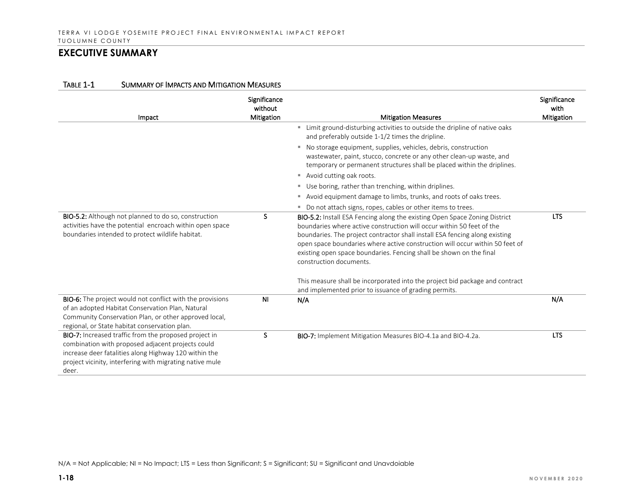| Impact                                                                                                                                                                                                                                   | Significance<br>without<br><b>Mitigation</b> | <b>Mitigation Measures</b>                                                                                                                                                                                                                                                                                                                                                                                           | Significance<br>with<br>Mitigation |
|------------------------------------------------------------------------------------------------------------------------------------------------------------------------------------------------------------------------------------------|----------------------------------------------|----------------------------------------------------------------------------------------------------------------------------------------------------------------------------------------------------------------------------------------------------------------------------------------------------------------------------------------------------------------------------------------------------------------------|------------------------------------|
|                                                                                                                                                                                                                                          |                                              | " Limit ground-disturbing activities to outside the dripline of native oaks<br>and preferably outside 1-1/2 times the dripline.                                                                                                                                                                                                                                                                                      |                                    |
|                                                                                                                                                                                                                                          |                                              | ■ No storage equipment, supplies, vehicles, debris, construction<br>wastewater, paint, stucco, concrete or any other clean-up waste, and<br>temporary or permanent structures shall be placed within the driplines.                                                                                                                                                                                                  |                                    |
|                                                                                                                                                                                                                                          |                                              | Avoid cutting oak roots.                                                                                                                                                                                                                                                                                                                                                                                             |                                    |
|                                                                                                                                                                                                                                          |                                              | " Use boring, rather than trenching, within driplines.                                                                                                                                                                                                                                                                                                                                                               |                                    |
|                                                                                                                                                                                                                                          |                                              | Avoid equipment damage to limbs, trunks, and roots of oaks trees.<br>ш                                                                                                                                                                                                                                                                                                                                               |                                    |
|                                                                                                                                                                                                                                          |                                              | ■ Do not attach signs, ropes, cables or other items to trees.                                                                                                                                                                                                                                                                                                                                                        |                                    |
| <b>BIO-5.2:</b> Although not planned to do so, construction<br>activities have the potential encroach within open space<br>boundaries intended to protect wildlife habitat.                                                              | S.                                           | BIO-5.2: Install ESA Fencing along the existing Open Space Zoning District<br>boundaries where active construction will occur within 50 feet of the<br>boundaries. The project contractor shall install ESA fencing along existing<br>open space boundaries where active construction will occur within 50 feet of<br>existing open space boundaries. Fencing shall be shown on the final<br>construction documents. | <b>LTS</b>                         |
|                                                                                                                                                                                                                                          |                                              | This measure shall be incorporated into the project bid package and contract<br>and implemented prior to issuance of grading permits.                                                                                                                                                                                                                                                                                |                                    |
| <b>BIO-6:</b> The project would not conflict with the provisions<br>of an adopted Habitat Conservation Plan, Natural<br>Community Conservation Plan, or other approved local,<br>regional, or State habitat conservation plan.           | <b>NI</b>                                    | N/A                                                                                                                                                                                                                                                                                                                                                                                                                  | N/A                                |
| BIO-7: Increased traffic from the proposed project in<br>combination with proposed adjacent projects could<br>increase deer fatalities along Highway 120 within the<br>project vicinity, interfering with migrating native mule<br>deer. | S                                            | BIO-7: Implement Mitigation Measures BIO-4.1a and BIO-4.2a.                                                                                                                                                                                                                                                                                                                                                          | <b>LTS</b>                         |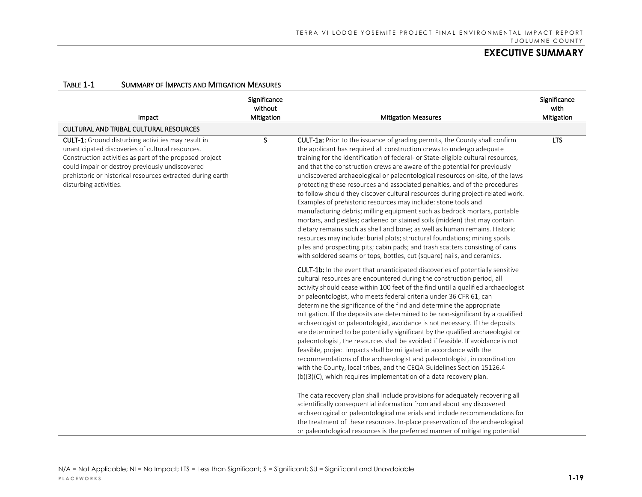| Impact                                                                                                                                                                                                                                                                                                              | Significance<br>without<br>Mitigation | <b>Mitigation Measures</b>                                                                                                                                                                                                                                                                                                                                                                                                                                                                                                                                                                                                                                                                                                                                                                                                                                                                                                                                                                                                                                                                                                  | Significance<br>with<br>Mitigation |
|---------------------------------------------------------------------------------------------------------------------------------------------------------------------------------------------------------------------------------------------------------------------------------------------------------------------|---------------------------------------|-----------------------------------------------------------------------------------------------------------------------------------------------------------------------------------------------------------------------------------------------------------------------------------------------------------------------------------------------------------------------------------------------------------------------------------------------------------------------------------------------------------------------------------------------------------------------------------------------------------------------------------------------------------------------------------------------------------------------------------------------------------------------------------------------------------------------------------------------------------------------------------------------------------------------------------------------------------------------------------------------------------------------------------------------------------------------------------------------------------------------------|------------------------------------|
| <b>CULTURAL AND TRIBAL CULTURAL RESOURCES</b>                                                                                                                                                                                                                                                                       |                                       |                                                                                                                                                                                                                                                                                                                                                                                                                                                                                                                                                                                                                                                                                                                                                                                                                                                                                                                                                                                                                                                                                                                             |                                    |
| <b>CULT-1:</b> Ground disturbing activities may result in<br>unanticipated discoveries of cultural resources.<br>Construction activities as part of the proposed project<br>could impair or destroy previously undiscovered<br>prehistoric or historical resources extracted during earth<br>disturbing activities. | S.                                    | CULT-1a: Prior to the issuance of grading permits, the County shall confirm<br>the applicant has required all construction crews to undergo adequate<br>training for the identification of federal- or State-eligible cultural resources,<br>and that the construction crews are aware of the potential for previously<br>undiscovered archaeological or paleontological resources on-site, of the laws<br>protecting these resources and associated penalties, and of the procedures<br>to follow should they discover cultural resources during project-related work.<br>Examples of prehistoric resources may include: stone tools and<br>manufacturing debris; milling equipment such as bedrock mortars, portable<br>mortars, and pestles; darkened or stained soils (midden) that may contain<br>dietary remains such as shell and bone; as well as human remains. Historic<br>resources may include: burial plots; structural foundations; mining spoils<br>piles and prospecting pits; cabin pads; and trash scatters consisting of cans<br>with soldered seams or tops, bottles, cut (square) nails, and ceramics. | <b>LTS</b>                         |
|                                                                                                                                                                                                                                                                                                                     |                                       | <b>CULT-1b:</b> In the event that unanticipated discoveries of potentially sensitive<br>cultural resources are encountered during the construction period, all<br>activity should cease within 100 feet of the find until a qualified archaeologist<br>or paleontologist, who meets federal criteria under 36 CFR 61, can<br>determine the significance of the find and determine the appropriate<br>mitigation. If the deposits are determined to be non-significant by a qualified<br>archaeologist or paleontologist, avoidance is not necessary. If the deposits<br>are determined to be potentially significant by the qualified archaeologist or<br>paleontologist, the resources shall be avoided if feasible. If avoidance is not<br>feasible, project impacts shall be mitigated in accordance with the<br>recommendations of the archaeologist and paleontologist, in coordination<br>with the County, local tribes, and the CEQA Guidelines Section 15126.4<br>$(b)(3)(C)$ , which requires implementation of a data recovery plan.                                                                              |                                    |
|                                                                                                                                                                                                                                                                                                                     |                                       | The data recovery plan shall include provisions for adequately recovering all<br>scientifically consequential information from and about any discovered<br>archaeological or paleontological materials and include recommendations for<br>the treatment of these resources. In-place preservation of the archaeological<br>or paleontological resources is the preferred manner of mitigating potential                                                                                                                                                                                                                                                                                                                                                                                                                                                                                                                                                                                                                                                                                                                     |                                    |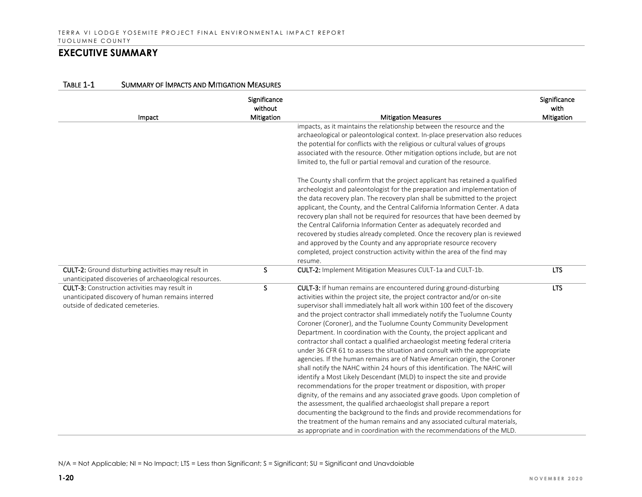| Impact                                                                                | Significance<br>without<br>Mitigation | <b>Mitigation Measures</b>                                                                                                                               | Significance<br>with<br>Mitigation |
|---------------------------------------------------------------------------------------|---------------------------------------|----------------------------------------------------------------------------------------------------------------------------------------------------------|------------------------------------|
|                                                                                       |                                       | impacts, as it maintains the relationship between the resource and the                                                                                   |                                    |
|                                                                                       |                                       | archaeological or paleontological context. In-place preservation also reduces                                                                            |                                    |
|                                                                                       |                                       | the potential for conflicts with the religious or cultural values of groups                                                                              |                                    |
|                                                                                       |                                       | associated with the resource. Other mitigation options include, but are not                                                                              |                                    |
|                                                                                       |                                       | limited to, the full or partial removal and curation of the resource.                                                                                    |                                    |
|                                                                                       |                                       | The County shall confirm that the project applicant has retained a qualified                                                                             |                                    |
|                                                                                       |                                       | archeologist and paleontologist for the preparation and implementation of                                                                                |                                    |
|                                                                                       |                                       | the data recovery plan. The recovery plan shall be submitted to the project                                                                              |                                    |
|                                                                                       |                                       | applicant, the County, and the Central California Information Center. A data                                                                             |                                    |
|                                                                                       |                                       | recovery plan shall not be required for resources that have been deemed by                                                                               |                                    |
|                                                                                       |                                       | the Central California Information Center as adequately recorded and                                                                                     |                                    |
|                                                                                       |                                       | recovered by studies already completed. Once the recovery plan is reviewed                                                                               |                                    |
|                                                                                       |                                       | and approved by the County and any appropriate resource recovery                                                                                         |                                    |
|                                                                                       |                                       | completed, project construction activity within the area of the find may                                                                                 |                                    |
|                                                                                       |                                       | resume.                                                                                                                                                  |                                    |
| <b>CULT-2:</b> Ground disturbing activities may result in                             | S                                     | CULT-2: Implement Mitigation Measures CULT-1a and CULT-1b.                                                                                               | <b>LTS</b>                         |
| unanticipated discoveries of archaeological resources.                                |                                       |                                                                                                                                                          |                                    |
| <b>CULT-3:</b> Construction activities may result in                                  | S                                     | <b>CULT-3:</b> If human remains are encountered during ground-disturbing                                                                                 | <b>LTS</b>                         |
| unanticipated discovery of human remains interred<br>outside of dedicated cemeteries. |                                       | activities within the project site, the project contractor and/or on-site<br>supervisor shall immediately halt all work within 100 feet of the discovery |                                    |
|                                                                                       |                                       |                                                                                                                                                          |                                    |
|                                                                                       |                                       | and the project contractor shall immediately notify the Tuolumne County                                                                                  |                                    |
|                                                                                       |                                       | Coroner (Coroner), and the Tuolumne County Community Development<br>Department. In coordination with the County, the project applicant and               |                                    |
|                                                                                       |                                       |                                                                                                                                                          |                                    |
|                                                                                       |                                       | contractor shall contact a qualified archaeologist meeting federal criteria<br>under 36 CFR 61 to assess the situation and consult with the appropriate  |                                    |
|                                                                                       |                                       | agencies. If the human remains are of Native American origin, the Coroner                                                                                |                                    |
|                                                                                       |                                       | shall notify the NAHC within 24 hours of this identification. The NAHC will                                                                              |                                    |
|                                                                                       |                                       | identify a Most Likely Descendant (MLD) to inspect the site and provide                                                                                  |                                    |
|                                                                                       |                                       | recommendations for the proper treatment or disposition, with proper                                                                                     |                                    |
|                                                                                       |                                       | dignity, of the remains and any associated grave goods. Upon completion of                                                                               |                                    |
|                                                                                       |                                       | the assessment, the qualified archaeologist shall prepare a report                                                                                       |                                    |
|                                                                                       |                                       | documenting the background to the finds and provide recommendations for                                                                                  |                                    |
|                                                                                       |                                       | the treatment of the human remains and any associated cultural materials,                                                                                |                                    |
|                                                                                       |                                       | as appropriate and in coordination with the recommendations of the MLD.                                                                                  |                                    |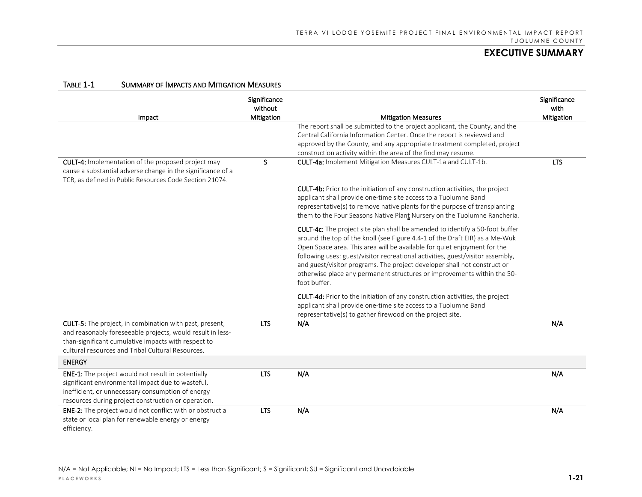| IABLE T-T<br>SUMMARY OF IMPACTS AND MITIGATION IMEASURES                                                                                                                                                                                 |                                       |                                                                                                                                                                                                                                                                                                                                                                                                                                                                                                  |                                    |
|------------------------------------------------------------------------------------------------------------------------------------------------------------------------------------------------------------------------------------------|---------------------------------------|--------------------------------------------------------------------------------------------------------------------------------------------------------------------------------------------------------------------------------------------------------------------------------------------------------------------------------------------------------------------------------------------------------------------------------------------------------------------------------------------------|------------------------------------|
| Impact                                                                                                                                                                                                                                   | Significance<br>without<br>Mitigation | <b>Mitigation Measures</b>                                                                                                                                                                                                                                                                                                                                                                                                                                                                       | Significance<br>with<br>Mitigation |
|                                                                                                                                                                                                                                          |                                       | The report shall be submitted to the project applicant, the County, and the<br>Central California Information Center. Once the report is reviewed and<br>approved by the County, and any appropriate treatment completed, project<br>construction activity within the area of the find may resume.                                                                                                                                                                                               |                                    |
| CULT-4: Implementation of the proposed project may<br>cause a substantial adverse change in the significance of a<br>TCR, as defined in Public Resources Code Section 21074.                                                             | S                                     | CULT-4a: Implement Mitigation Measures CULT-1a and CULT-1b.                                                                                                                                                                                                                                                                                                                                                                                                                                      | <b>LTS</b>                         |
|                                                                                                                                                                                                                                          |                                       | <b>CULT-4b:</b> Prior to the initiation of any construction activities, the project<br>applicant shall provide one-time site access to a Tuolumne Band<br>representative(s) to remove native plants for the purpose of transplanting<br>them to the Four Seasons Native Plant Nursery on the Tuolumne Rancheria.                                                                                                                                                                                 |                                    |
|                                                                                                                                                                                                                                          |                                       | CULT-4c: The project site plan shall be amended to identify a 50-foot buffer<br>around the top of the knoll (see Figure 4.4-1 of the Draft EIR) as a Me-Wuk<br>Open Space area. This area will be available for quiet enjoyment for the<br>following uses: guest/visitor recreational activities, guest/visitor assembly,<br>and guest/visitor programs. The project developer shall not construct or<br>otherwise place any permanent structures or improvements within the 50-<br>foot buffer. |                                    |
|                                                                                                                                                                                                                                          |                                       | CULT-4d: Prior to the initiation of any construction activities, the project<br>applicant shall provide one-time site access to a Tuolumne Band<br>representative(s) to gather firewood on the project site.                                                                                                                                                                                                                                                                                     |                                    |
| <b>CULT-5:</b> The project, in combination with past, present,<br>and reasonably foreseeable projects, would result in less-<br>than-significant cumulative impacts with respect to<br>cultural resources and Tribal Cultural Resources. | <b>LTS</b>                            | N/A                                                                                                                                                                                                                                                                                                                                                                                                                                                                                              | N/A                                |
| <b>ENERGY</b>                                                                                                                                                                                                                            |                                       |                                                                                                                                                                                                                                                                                                                                                                                                                                                                                                  |                                    |
| <b>ENE-1:</b> The project would not result in potentially<br>significant environmental impact due to wasteful,<br>inefficient, or unnecessary consumption of energy<br>resources during project construction or operation.               | <b>LTS</b>                            | N/A                                                                                                                                                                                                                                                                                                                                                                                                                                                                                              | N/A                                |
| ENE-2: The project would not conflict with or obstruct a<br>state or local plan for renewable energy or energy<br>efficiency.                                                                                                            | <b>LTS</b>                            | N/A                                                                                                                                                                                                                                                                                                                                                                                                                                                                                              | N/A                                |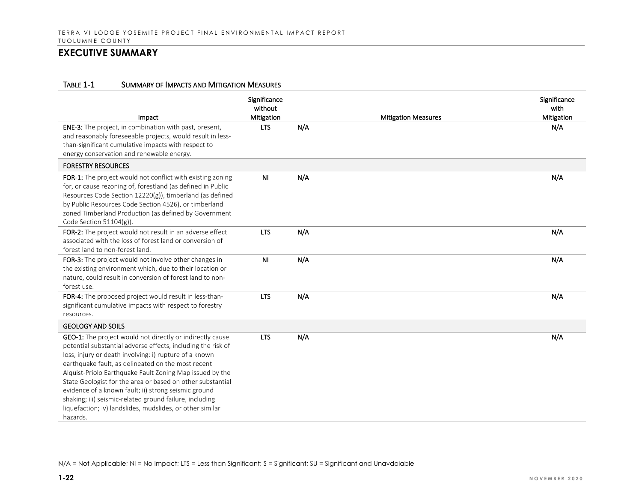#### TABLE 1-1 SUMMARY OF IMPACTS AND MITIGATION MEASURES

| Impact<br><b>ENE-3:</b> The project, in combination with past, present,                                                                                                                                                                                                                                                                                                                                                                                                                                                                                         | Significance<br>without<br>Mitigation<br><b>LTS</b> | N/A | <b>Mitigation Measures</b> | Significance<br>with<br>Mitigation<br>N/A |
|-----------------------------------------------------------------------------------------------------------------------------------------------------------------------------------------------------------------------------------------------------------------------------------------------------------------------------------------------------------------------------------------------------------------------------------------------------------------------------------------------------------------------------------------------------------------|-----------------------------------------------------|-----|----------------------------|-------------------------------------------|
| and reasonably foreseeable projects, would result in less-<br>than-significant cumulative impacts with respect to<br>energy conservation and renewable energy.                                                                                                                                                                                                                                                                                                                                                                                                  |                                                     |     |                            |                                           |
| <b>FORESTRY RESOURCES</b>                                                                                                                                                                                                                                                                                                                                                                                                                                                                                                                                       |                                                     |     |                            |                                           |
| FOR-1: The project would not conflict with existing zoning<br>for, or cause rezoning of, forestland (as defined in Public<br>Resources Code Section 12220(g)), timberland (as defined<br>by Public Resources Code Section 4526), or timberland<br>zoned Timberland Production (as defined by Government<br>Code Section 51104(g)).                                                                                                                                                                                                                              | <b>NI</b>                                           | N/A |                            | N/A                                       |
| FOR-2: The project would not result in an adverse effect<br>associated with the loss of forest land or conversion of<br>forest land to non-forest land.                                                                                                                                                                                                                                                                                                                                                                                                         | <b>LTS</b>                                          | N/A |                            | N/A                                       |
| FOR-3: The project would not involve other changes in<br>the existing environment which, due to their location or<br>nature, could result in conversion of forest land to non-<br>forest use.                                                                                                                                                                                                                                                                                                                                                                   | <b>NI</b>                                           | N/A |                            | N/A                                       |
| FOR-4: The proposed project would result in less-than-<br>significant cumulative impacts with respect to forestry<br>resources.                                                                                                                                                                                                                                                                                                                                                                                                                                 | <b>LTS</b>                                          | N/A |                            | N/A                                       |
| <b>GEOLOGY AND SOILS</b>                                                                                                                                                                                                                                                                                                                                                                                                                                                                                                                                        |                                                     |     |                            |                                           |
| GEO-1: The project would not directly or indirectly cause<br>potential substantial adverse effects, including the risk of<br>loss, injury or death involving: i) rupture of a known<br>earthquake fault, as delineated on the most recent<br>Alquist-Priolo Earthquake Fault Zoning Map issued by the<br>State Geologist for the area or based on other substantial<br>evidence of a known fault; ii) strong seismic ground<br>shaking; iii) seismic-related ground failure, including<br>liquefaction; iv) landslides, mudslides, or other similar<br>hazards. | <b>LTS</b>                                          | N/A |                            | N/A                                       |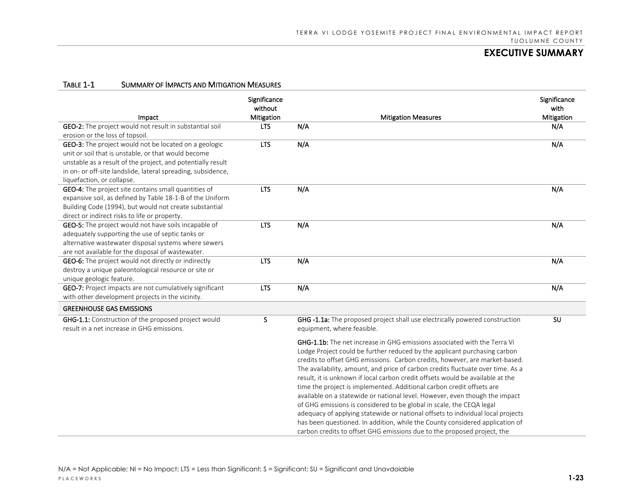| Impact                                                                                            | Significance<br>without<br>Mitigation | <b>Mitigation Measures</b>                                                                                | Significance<br>with<br>Mitigation |
|---------------------------------------------------------------------------------------------------|---------------------------------------|-----------------------------------------------------------------------------------------------------------|------------------------------------|
| GEO-2: The project would not result in substantial soil                                           | <b>LTS</b>                            | N/A                                                                                                       | N/A                                |
| erosion or the loss of topsoil.                                                                   |                                       |                                                                                                           |                                    |
| GEO-3: The project would not be located on a geologic                                             | <b>LTS</b>                            | N/A                                                                                                       | N/A                                |
| unit or soil that is unstable, or that would become                                               |                                       |                                                                                                           |                                    |
| unstable as a result of the project, and potentially result                                       |                                       |                                                                                                           |                                    |
| in on- or off-site landslide, lateral spreading, subsidence,                                      |                                       |                                                                                                           |                                    |
| liquefaction, or collapse.                                                                        |                                       |                                                                                                           |                                    |
| GEO-4: The project site contains small quantities of                                              | <b>LTS</b>                            | N/A                                                                                                       | N/A                                |
| expansive soil, as defined by Table 18-1-B of the Uniform                                         |                                       |                                                                                                           |                                    |
| Building Code (1994), but would not create substantial                                            |                                       |                                                                                                           |                                    |
| direct or indirect risks to life or property.                                                     |                                       |                                                                                                           |                                    |
| GEO-5: The project would not have soils incapable of                                              | <b>LTS</b>                            | N/A                                                                                                       | N/A                                |
| adequately supporting the use of septic tanks or                                                  |                                       |                                                                                                           |                                    |
| alternative wastewater disposal systems where sewers                                              |                                       |                                                                                                           |                                    |
| are not available for the disposal of wastewater.                                                 |                                       |                                                                                                           |                                    |
| <b>GEO-6:</b> The project would not directly or indirectly                                        | <b>LTS</b>                            | N/A                                                                                                       | N/A                                |
| destroy a unique paleontological resource or site or                                              |                                       |                                                                                                           |                                    |
| unique geologic feature.                                                                          |                                       |                                                                                                           |                                    |
| GEO-7: Project impacts are not cumulatively significant                                           | <b>LTS</b>                            | N/A                                                                                                       | N/A                                |
| with other development projects in the vicinity.                                                  |                                       |                                                                                                           |                                    |
| <b>GREENHOUSE GAS EMISSIONS</b>                                                                   |                                       |                                                                                                           |                                    |
| GHG-1.1: Construction of the proposed project would<br>result in a net increase in GHG emissions. | S.                                    | GHG -1.1a: The proposed project shall use electrically powered construction<br>equipment, where feasible. | SU                                 |
|                                                                                                   |                                       |                                                                                                           |                                    |
|                                                                                                   |                                       | <b>GHG-1.1b:</b> The net increase in GHG emissions associated with the Terra Vi                           |                                    |
|                                                                                                   |                                       | Lodge Project could be further reduced by the applicant purchasing carbon                                 |                                    |
|                                                                                                   |                                       | credits to offset GHG emissions. Carbon credits, however, are market-based.                               |                                    |
|                                                                                                   |                                       | The availability, amount, and price of carbon credits fluctuate over time. As a                           |                                    |
|                                                                                                   |                                       | result, it is unknown if local carbon credit offsets would be available at the                            |                                    |
|                                                                                                   |                                       | time the project is implemented. Additional carbon credit offsets are                                     |                                    |
|                                                                                                   |                                       | available on a statewide or national level. However, even though the impact                               |                                    |
|                                                                                                   |                                       | of GHG emissions is considered to be global in scale, the CEQA legal                                      |                                    |
|                                                                                                   |                                       | adequacy of applying statewide or national offsets to individual local projects                           |                                    |
|                                                                                                   |                                       | has been questioned. In addition, while the County considered application of                              |                                    |
|                                                                                                   |                                       | carbon credits to offset GHG emissions due to the proposed project, the                                   |                                    |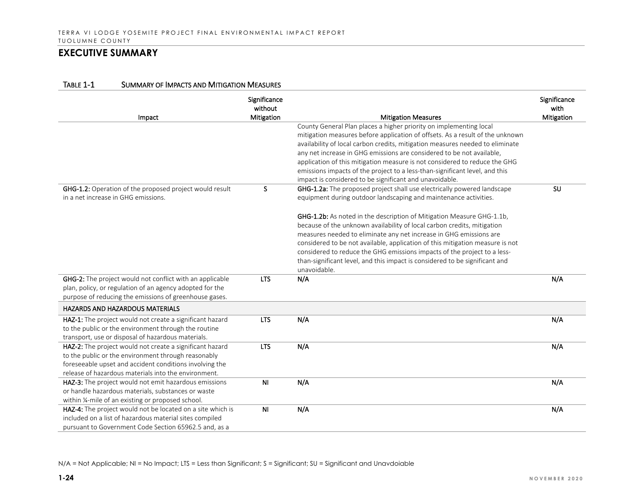| Impact                                                                                                          | Significance<br>without<br>Mitigation | <b>Mitigation Measures</b>                                                    | Significance<br>with<br>Mitigation |
|-----------------------------------------------------------------------------------------------------------------|---------------------------------------|-------------------------------------------------------------------------------|------------------------------------|
|                                                                                                                 |                                       | County General Plan places a higher priority on implementing local            |                                    |
|                                                                                                                 |                                       | mitigation measures before application of offsets. As a result of the unknown |                                    |
|                                                                                                                 |                                       | availability of local carbon credits, mitigation measures needed to eliminate |                                    |
|                                                                                                                 |                                       | any net increase in GHG emissions are considered to be not available,         |                                    |
|                                                                                                                 |                                       | application of this mitigation measure is not considered to reduce the GHG    |                                    |
|                                                                                                                 |                                       | emissions impacts of the project to a less-than-significant level, and this   |                                    |
|                                                                                                                 |                                       | impact is considered to be significant and unavoidable.                       |                                    |
| <b>GHG-1.2:</b> Operation of the proposed project would result                                                  | S.                                    | GHG-1.2a: The proposed project shall use electrically powered landscape       | SU                                 |
| in a net increase in GHG emissions.                                                                             |                                       | equipment during outdoor landscaping and maintenance activities.              |                                    |
|                                                                                                                 |                                       | GHG-1.2b: As noted in the description of Mitigation Measure GHG-1.1b,         |                                    |
|                                                                                                                 |                                       | because of the unknown availability of local carbon credits, mitigation       |                                    |
|                                                                                                                 |                                       | measures needed to eliminate any net increase in GHG emissions are            |                                    |
|                                                                                                                 |                                       | considered to be not available, application of this mitigation measure is not |                                    |
|                                                                                                                 |                                       | considered to reduce the GHG emissions impacts of the project to a less-      |                                    |
|                                                                                                                 |                                       | than-significant level, and this impact is considered to be significant and   |                                    |
|                                                                                                                 |                                       | unavoidable.                                                                  |                                    |
| GHG-2: The project would not conflict with an applicable                                                        | <b>LTS</b>                            | N/A                                                                           | N/A                                |
| plan, policy, or regulation of an agency adopted for the                                                        |                                       |                                                                               |                                    |
| purpose of reducing the emissions of greenhouse gases.                                                          |                                       |                                                                               |                                    |
| <b>HAZARDS AND HAZARDOUS MATERIALS</b>                                                                          |                                       |                                                                               |                                    |
| HAZ-1: The project would not create a significant hazard                                                        | <b>LTS</b>                            | N/A                                                                           | N/A                                |
| to the public or the environment through the routine                                                            |                                       |                                                                               |                                    |
| transport, use or disposal of hazardous materials.                                                              |                                       | N/A                                                                           | N/A                                |
| HAZ-2: The project would not create a significant hazard<br>to the public or the environment through reasonably | <b>LTS</b>                            |                                                                               |                                    |
| foreseeable upset and accident conditions involving the                                                         |                                       |                                                                               |                                    |
| release of hazardous materials into the environment.                                                            |                                       |                                                                               |                                    |
|                                                                                                                 |                                       |                                                                               |                                    |
| HAZ-3: The project would not emit hazardous emissions                                                           | N <sub>1</sub>                        | N/A                                                                           | N/A                                |
| or handle hazardous materials, substances or waste<br>within 1/4-mile of an existing or proposed school.        |                                       |                                                                               |                                    |
| HAZ-4: The project would not be located on a site which is                                                      | <b>NI</b>                             | N/A                                                                           |                                    |
| included on a list of hazardous material sites compiled                                                         |                                       |                                                                               | N/A                                |
|                                                                                                                 |                                       |                                                                               |                                    |
| pursuant to Government Code Section 65962.5 and, as a                                                           |                                       |                                                                               |                                    |

#### TABLE 1-1 SUMMARY OF IMPACTS AND MITIGATION MEASURES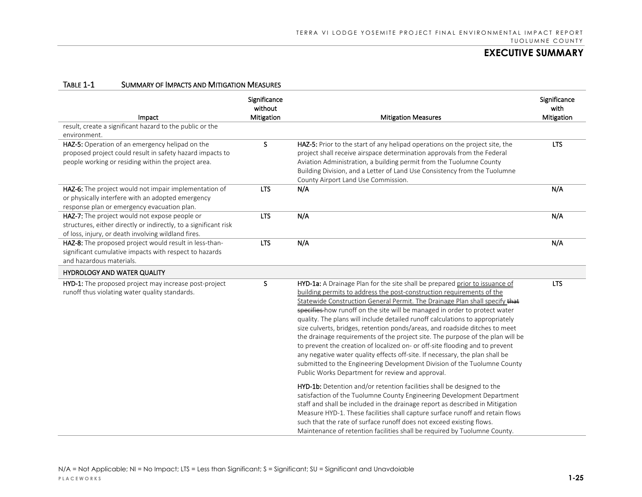| Impact                                                                                                                                                                   | Significance<br>without<br>Mitigation | <b>Mitigation Measures</b>                                                                                                                                                                                                                                                                                                                                                                                                                                                                                                                                                                                                                                                                                                                                                                                                                                          | Significance<br>with<br>Mitigation |
|--------------------------------------------------------------------------------------------------------------------------------------------------------------------------|---------------------------------------|---------------------------------------------------------------------------------------------------------------------------------------------------------------------------------------------------------------------------------------------------------------------------------------------------------------------------------------------------------------------------------------------------------------------------------------------------------------------------------------------------------------------------------------------------------------------------------------------------------------------------------------------------------------------------------------------------------------------------------------------------------------------------------------------------------------------------------------------------------------------|------------------------------------|
| result, create a significant hazard to the public or the                                                                                                                 |                                       |                                                                                                                                                                                                                                                                                                                                                                                                                                                                                                                                                                                                                                                                                                                                                                                                                                                                     |                                    |
| environment.                                                                                                                                                             |                                       |                                                                                                                                                                                                                                                                                                                                                                                                                                                                                                                                                                                                                                                                                                                                                                                                                                                                     |                                    |
| HAZ-5: Operation of an emergency helipad on the<br>proposed project could result in safety hazard impacts to<br>people working or residing within the project area.      | S.                                    | HAZ-5: Prior to the start of any helipad operations on the project site, the<br>project shall receive airspace determination approvals from the Federal<br>Aviation Administration, a building permit from the Tuolumne County<br>Building Division, and a Letter of Land Use Consistency from the Tuolumne<br>County Airport Land Use Commission.                                                                                                                                                                                                                                                                                                                                                                                                                                                                                                                  | <b>LTS</b>                         |
| HAZ-6: The project would not impair implementation of<br>or physically interfere with an adopted emergency<br>response plan or emergency evacuation plan.                | <b>LTS</b>                            | N/A                                                                                                                                                                                                                                                                                                                                                                                                                                                                                                                                                                                                                                                                                                                                                                                                                                                                 | N/A                                |
| HAZ-7: The project would not expose people or<br>structures, either directly or indirectly, to a significant risk<br>of loss, injury, or death involving wildland fires. | <b>LTS</b>                            | N/A                                                                                                                                                                                                                                                                                                                                                                                                                                                                                                                                                                                                                                                                                                                                                                                                                                                                 | N/A                                |
| HAZ-8: The proposed project would result in less-than-<br>significant cumulative impacts with respect to hazards<br>and hazardous materials.                             | <b>LTS</b>                            | N/A                                                                                                                                                                                                                                                                                                                                                                                                                                                                                                                                                                                                                                                                                                                                                                                                                                                                 | N/A                                |
| <b>HYDROLOGY AND WATER QUALITY</b>                                                                                                                                       |                                       |                                                                                                                                                                                                                                                                                                                                                                                                                                                                                                                                                                                                                                                                                                                                                                                                                                                                     |                                    |
| HYD-1: The proposed project may increase post-project<br>runoff thus violating water quality standards.                                                                  | S                                     | HYD-1a: A Drainage Plan for the site shall be prepared prior to issuance of<br>building permits to address the post-construction requirements of the<br>Statewide Construction General Permit. The Drainage Plan shall specify that<br>specifies how runoff on the site will be managed in order to protect water<br>quality. The plans will include detailed runoff calculations to appropriately<br>size culverts, bridges, retention ponds/areas, and roadside ditches to meet<br>the drainage requirements of the project site. The purpose of the plan will be<br>to prevent the creation of localized on- or off-site flooding and to prevent<br>any negative water quality effects off-site. If necessary, the plan shall be<br>submitted to the Engineering Development Division of the Tuolumne County<br>Public Works Department for review and approval. | <b>LTS</b>                         |
|                                                                                                                                                                          |                                       | HYD-1b: Detention and/or retention facilities shall be designed to the<br>satisfaction of the Tuolumne County Engineering Development Department<br>staff and shall be included in the drainage report as described in Mitigation<br>Measure HYD-1. These facilities shall capture surface runoff and retain flows<br>such that the rate of surface runoff does not exceed existing flows.<br>Maintenance of retention facilities shall be required by Tuolumne County.                                                                                                                                                                                                                                                                                                                                                                                             |                                    |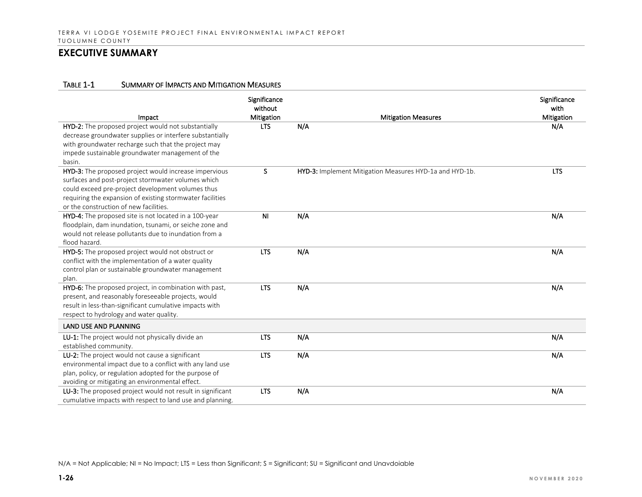#### TABLE 1-1 SUMMARY OF IMPACTS AND MITIGATION MEASURES

| Impact                                                                                                          | Significance<br>without<br>Mitigation | <b>Mitigation Measures</b>                              | Significance<br>with<br>Mitigation |
|-----------------------------------------------------------------------------------------------------------------|---------------------------------------|---------------------------------------------------------|------------------------------------|
| HYD-2: The proposed project would not substantially<br>decrease groundwater supplies or interfere substantially | <b>LTS</b>                            | N/A                                                     | N/A                                |
| with groundwater recharge such that the project may                                                             |                                       |                                                         |                                    |
| impede sustainable groundwater management of the                                                                |                                       |                                                         |                                    |
| basin.                                                                                                          |                                       |                                                         |                                    |
| HYD-3: The proposed project would increase impervious                                                           | S                                     | HYD-3: Implement Mitigation Measures HYD-1a and HYD-1b. | <b>LTS</b>                         |
| surfaces and post-project stormwater volumes which                                                              |                                       |                                                         |                                    |
| could exceed pre-project development volumes thus                                                               |                                       |                                                         |                                    |
| requiring the expansion of existing stormwater facilities<br>or the construction of new facilities.             |                                       |                                                         |                                    |
| HYD-4: The proposed site is not located in a 100-year                                                           | N <sub>1</sub>                        | N/A                                                     | N/A                                |
| floodplain, dam inundation, tsunami, or seiche zone and                                                         |                                       |                                                         |                                    |
| would not release pollutants due to inundation from a                                                           |                                       |                                                         |                                    |
| flood hazard.                                                                                                   |                                       |                                                         |                                    |
| HYD-5: The proposed project would not obstruct or                                                               | <b>LTS</b>                            | N/A                                                     | N/A                                |
| conflict with the implementation of a water quality                                                             |                                       |                                                         |                                    |
| control plan or sustainable groundwater management                                                              |                                       |                                                         |                                    |
| plan.                                                                                                           |                                       |                                                         |                                    |
| HYD-6: The proposed project, in combination with past,                                                          | <b>LTS</b>                            | N/A                                                     | N/A                                |
| present, and reasonably foreseeable projects, would                                                             |                                       |                                                         |                                    |
| result in less-than-significant cumulative impacts with                                                         |                                       |                                                         |                                    |
| respect to hydrology and water quality.                                                                         |                                       |                                                         |                                    |
| <b>LAND USE AND PLANNING</b>                                                                                    |                                       |                                                         |                                    |
| LU-1: The project would not physically divide an                                                                | <b>LTS</b>                            | N/A                                                     | N/A                                |
| established community.                                                                                          |                                       |                                                         |                                    |
| LU-2: The project would not cause a significant                                                                 | <b>LTS</b>                            | N/A                                                     | N/A                                |
| environmental impact due to a conflict with any land use                                                        |                                       |                                                         |                                    |
| plan, policy, or regulation adopted for the purpose of                                                          |                                       |                                                         |                                    |
| avoiding or mitigating an environmental effect.                                                                 |                                       |                                                         |                                    |
| LU-3: The proposed project would not result in significant                                                      | <b>LTS</b>                            | N/A                                                     | N/A                                |
| cumulative impacts with respect to land use and planning.                                                       |                                       |                                                         |                                    |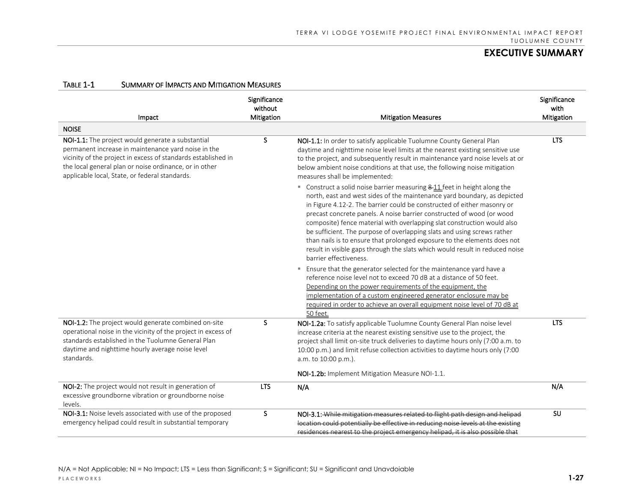| Impact                                                                                                                                                                                                                                                                                | Significance<br>without<br>Mitigation | <b>Mitigation Measures</b>                                                                                                                                                                                                                                                                                                                                                                                                                                                                                                                                                                                                                            | Significance<br>with<br>Mitigation |
|---------------------------------------------------------------------------------------------------------------------------------------------------------------------------------------------------------------------------------------------------------------------------------------|---------------------------------------|-------------------------------------------------------------------------------------------------------------------------------------------------------------------------------------------------------------------------------------------------------------------------------------------------------------------------------------------------------------------------------------------------------------------------------------------------------------------------------------------------------------------------------------------------------------------------------------------------------------------------------------------------------|------------------------------------|
| <b>NOISE</b>                                                                                                                                                                                                                                                                          |                                       |                                                                                                                                                                                                                                                                                                                                                                                                                                                                                                                                                                                                                                                       |                                    |
| NOI-1.1: The project would generate a substantial<br>permanent increase in maintenance yard noise in the<br>vicinity of the project in excess of standards established in<br>the local general plan or noise ordinance, or in other<br>applicable local, State, or federal standards. | S.                                    | NOI-1.1: In order to satisfy applicable Tuolumne County General Plan<br>daytime and nighttime noise level limits at the nearest existing sensitive use<br>to the project, and subsequently result in maintenance yard noise levels at or<br>below ambient noise conditions at that use, the following noise mitigation<br>measures shall be implemented:                                                                                                                                                                                                                                                                                              | <b>LTS</b>                         |
|                                                                                                                                                                                                                                                                                       |                                       | • Construct a solid noise barrier measuring 8-11 feet in height along the<br>north, east and west sides of the maintenance yard boundary, as depicted<br>in Figure 4.12-2. The barrier could be constructed of either masonry or<br>precast concrete panels. A noise barrier constructed of wood (or wood<br>composite) fence material with overlapping slat construction would also<br>be sufficient. The purpose of overlapping slats and using screws rather<br>than nails is to ensure that prolonged exposure to the elements does not<br>result in visible gaps through the slats which would result in reduced noise<br>barrier effectiveness. |                                    |
|                                                                                                                                                                                                                                                                                       |                                       | " Ensure that the generator selected for the maintenance yard have a<br>reference noise level not to exceed 70 dB at a distance of 50 feet.<br>Depending on the power requirements of the equipment, the<br>implementation of a custom engineered generator enclosure may be<br>required in order to achieve an overall equipment noise level of 70 dB at<br>50 feet.                                                                                                                                                                                                                                                                                 |                                    |
| NOI-1.2: The project would generate combined on-site<br>operational noise in the vicinity of the project in excess of<br>standards established in the Tuolumne General Plan<br>daytime and nighttime hourly average noise level<br>standards.                                         | S.                                    | NOI-1.2a: To satisfy applicable Tuolumne County General Plan noise level<br>increase criteria at the nearest existing sensitive use to the project, the<br>project shall limit on-site truck deliveries to daytime hours only (7:00 a.m. to<br>10:00 p.m.) and limit refuse collection activities to daytime hours only (7:00<br>a.m. to 10:00 p.m.).                                                                                                                                                                                                                                                                                                 | <b>LTS</b>                         |
|                                                                                                                                                                                                                                                                                       |                                       | NOI-1.2b: Implement Mitigation Measure NOI-1.1.                                                                                                                                                                                                                                                                                                                                                                                                                                                                                                                                                                                                       |                                    |
| NOI-2: The project would not result in generation of<br>excessive groundborne vibration or groundborne noise<br>levels.                                                                                                                                                               | <b>LTS</b>                            | N/A                                                                                                                                                                                                                                                                                                                                                                                                                                                                                                                                                                                                                                                   | N/A                                |
| NOI-3.1: Noise levels associated with use of the proposed<br>emergency helipad could result in substantial temporary                                                                                                                                                                  | S.                                    | NOI-3.1: While mitigation measures related to flight path design and helipad<br>location could potentially be effective in reducing noise levels at the existing<br>residences nearest to the project emergency helipad, it is also possible that                                                                                                                                                                                                                                                                                                                                                                                                     | <b>SU</b>                          |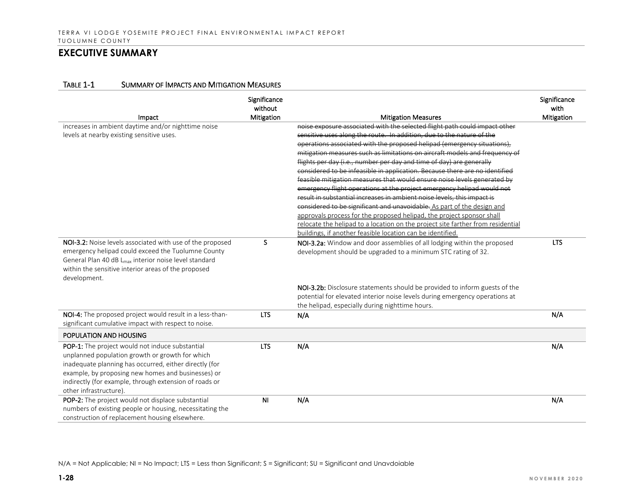#### TABLE 1-1 SUMMARY OF IMPACTS AND MITIGATION MEASURES

| Impact                                                            | Significance<br>without<br>Mitigation | <b>Mitigation Measures</b>                                                      | Significance<br>with<br>Mitigation |
|-------------------------------------------------------------------|---------------------------------------|---------------------------------------------------------------------------------|------------------------------------|
| increases in ambient daytime and/or nighttime noise               |                                       | noise exposure associated with the selected flight path could impact other      |                                    |
| levels at nearby existing sensitive uses.                         |                                       | sensitive uses along the route. In addition, due to the nature of the           |                                    |
|                                                                   |                                       | operations associated with the proposed helipad (emergency situations),         |                                    |
|                                                                   |                                       | mitigation measures such as limitations on aircraft models and frequency of     |                                    |
|                                                                   |                                       | flights per day (i.e., number per day and time of day) are generally            |                                    |
|                                                                   |                                       | considered to be infeasible in application. Because there are no identified     |                                    |
|                                                                   |                                       | feasible mitigation measures that would ensure noise levels generated by        |                                    |
|                                                                   |                                       | emergency flight operations at the project emergency helipad would not          |                                    |
|                                                                   |                                       | result in substantial increases in ambient noise levels, this impact is         |                                    |
|                                                                   |                                       | considered to be significant and unavoidable. As part of the design and         |                                    |
|                                                                   |                                       | approvals process for the proposed helipad, the project sponsor shall           |                                    |
|                                                                   |                                       | relocate the helipad to a location on the project site farther from residential |                                    |
|                                                                   |                                       | buildings, if another feasible location can be identified.                      |                                    |
| NOI-3.2: Noise levels associated with use of the proposed         | S                                     | NOI-3.2a: Window and door assemblies of all lodging within the proposed         | <b>LTS</b>                         |
| emergency helipad could exceed the Tuolumne County                |                                       | development should be upgraded to a minimum STC rating of 32.                   |                                    |
| General Plan 40 dB L <sub>max</sub> interior noise level standard |                                       |                                                                                 |                                    |
| within the sensitive interior areas of the proposed               |                                       |                                                                                 |                                    |
| development.                                                      |                                       |                                                                                 |                                    |
|                                                                   |                                       | NOI-3.2b: Disclosure statements should be provided to inform guests of the      |                                    |
|                                                                   |                                       | potential for elevated interior noise levels during emergency operations at     |                                    |
|                                                                   |                                       | the helipad, especially during nighttime hours.                                 |                                    |
| NOI-4: The proposed project would result in a less-than-          | <b>LTS</b>                            | N/A                                                                             | N/A                                |
| significant cumulative impact with respect to noise.              |                                       |                                                                                 |                                    |
| POPULATION AND HOUSING                                            |                                       |                                                                                 |                                    |
| POP-1: The project would not induce substantial                   | <b>LTS</b>                            | N/A                                                                             | N/A                                |
| unplanned population growth or growth for which                   |                                       |                                                                                 |                                    |
| inadequate planning has occurred, either directly (for            |                                       |                                                                                 |                                    |
| example, by proposing new homes and businesses) or                |                                       |                                                                                 |                                    |
| indirectly (for example, through extension of roads or            |                                       |                                                                                 |                                    |
| other infrastructure).                                            |                                       |                                                                                 |                                    |
| POP-2: The project would not displace substantial                 | <b>NI</b>                             | N/A                                                                             | N/A                                |
| numbers of existing people or housing, necessitating the          |                                       |                                                                                 |                                    |
| construction of replacement housing elsewhere.                    |                                       |                                                                                 |                                    |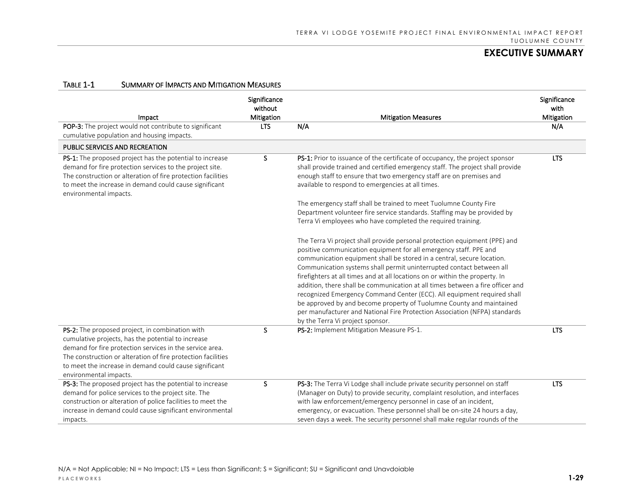| Impact                                                                                                                                                                                                                                                                                                                | Significance<br>without<br>Mitigation | <b>Mitigation Measures</b>                                                                                                                                                                                                                                                                                                                                                                                                                                                                                                                                                                                                                                                                                                                                                                                                                                                                                                                                                                                                                                                                                                                                                                                                                              | Significance<br>with<br>Mitigation |
|-----------------------------------------------------------------------------------------------------------------------------------------------------------------------------------------------------------------------------------------------------------------------------------------------------------------------|---------------------------------------|---------------------------------------------------------------------------------------------------------------------------------------------------------------------------------------------------------------------------------------------------------------------------------------------------------------------------------------------------------------------------------------------------------------------------------------------------------------------------------------------------------------------------------------------------------------------------------------------------------------------------------------------------------------------------------------------------------------------------------------------------------------------------------------------------------------------------------------------------------------------------------------------------------------------------------------------------------------------------------------------------------------------------------------------------------------------------------------------------------------------------------------------------------------------------------------------------------------------------------------------------------|------------------------------------|
| POP-3: The project would not contribute to significant<br>cumulative population and housing impacts.                                                                                                                                                                                                                  | <b>LTS</b>                            | N/A                                                                                                                                                                                                                                                                                                                                                                                                                                                                                                                                                                                                                                                                                                                                                                                                                                                                                                                                                                                                                                                                                                                                                                                                                                                     | N/A                                |
| PUBLIC SERVICES AND RECREATION                                                                                                                                                                                                                                                                                        |                                       |                                                                                                                                                                                                                                                                                                                                                                                                                                                                                                                                                                                                                                                                                                                                                                                                                                                                                                                                                                                                                                                                                                                                                                                                                                                         |                                    |
| PS-1: The proposed project has the potential to increase<br>demand for fire protection services to the project site.<br>The construction or alteration of fire protection facilities<br>to meet the increase in demand could cause significant<br>environmental impacts.                                              | S                                     | PS-1: Prior to issuance of the certificate of occupancy, the project sponsor<br>shall provide trained and certified emergency staff. The project shall provide<br>enough staff to ensure that two emergency staff are on premises and<br>available to respond to emergencies at all times.<br>The emergency staff shall be trained to meet Tuolumne County Fire<br>Department volunteer fire service standards. Staffing may be provided by<br>Terra Vi employees who have completed the required training.<br>The Terra Vi project shall provide personal protection equipment (PPE) and<br>positive communication equipment for all emergency staff. PPE and<br>communication equipment shall be stored in a central, secure location.<br>Communication systems shall permit uninterrupted contact between all<br>firefighters at all times and at all locations on or within the property. In<br>addition, there shall be communication at all times between a fire officer and<br>recognized Emergency Command Center (ECC). All equipment required shall<br>be approved by and become property of Tuolumne County and maintained<br>per manufacturer and National Fire Protection Association (NFPA) standards<br>by the Terra Vi project sponsor. | <b>LTS</b>                         |
| PS-2: The proposed project, in combination with<br>cumulative projects, has the potential to increase<br>demand for fire protection services in the service area.<br>The construction or alteration of fire protection facilities<br>to meet the increase in demand could cause significant<br>environmental impacts. | S                                     | PS-2: Implement Mitigation Measure PS-1.                                                                                                                                                                                                                                                                                                                                                                                                                                                                                                                                                                                                                                                                                                                                                                                                                                                                                                                                                                                                                                                                                                                                                                                                                | <b>LTS</b>                         |
| PS-3: The proposed project has the potential to increase<br>demand for police services to the project site. The<br>construction or alteration of police facilities to meet the<br>increase in demand could cause significant environmental<br>impacts.                                                                | S                                     | PS-3: The Terra Vi Lodge shall include private security personnel on staff<br>(Manager on Duty) to provide security, complaint resolution, and interfaces<br>with law enforcement/emergency personnel in case of an incident,<br>emergency, or evacuation. These personnel shall be on-site 24 hours a day,<br>seven days a week. The security personnel shall make regular rounds of the                                                                                                                                                                                                                                                                                                                                                                                                                                                                                                                                                                                                                                                                                                                                                                                                                                                               | <b>LTS</b>                         |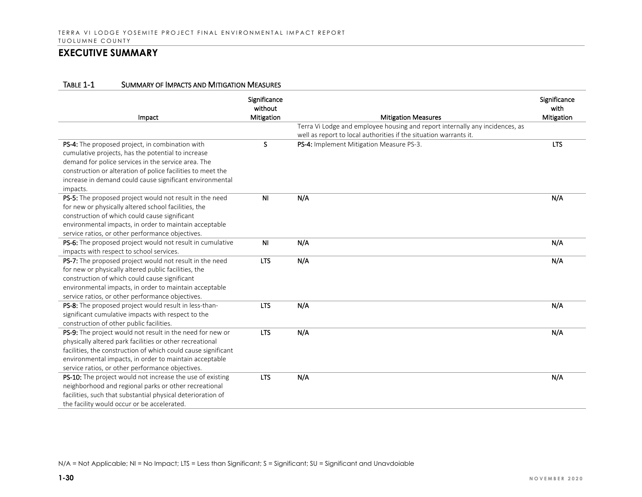#### TABLE 1-1 SUMMARY OF IMPACTS AND MITIGATION MEASURES

| Impact                                                        | Significance<br>without<br>Mitigation | <b>Mitigation Measures</b>                                                   | Significance<br>with<br>Mitigation |
|---------------------------------------------------------------|---------------------------------------|------------------------------------------------------------------------------|------------------------------------|
|                                                               |                                       | Terra Vi Lodge and employee housing and report internally any incidences, as |                                    |
|                                                               |                                       | well as report to local authorities if the situation warrants it.            |                                    |
| PS-4: The proposed project, in combination with               | S.                                    | PS-4: Implement Mitigation Measure PS-3.                                     | <b>LTS</b>                         |
| cumulative projects, has the potential to increase            |                                       |                                                                              |                                    |
| demand for police services in the service area. The           |                                       |                                                                              |                                    |
| construction or alteration of police facilities to meet the   |                                       |                                                                              |                                    |
| increase in demand could cause significant environmental      |                                       |                                                                              |                                    |
| impacts.                                                      |                                       |                                                                              |                                    |
| PS-5: The proposed project would not result in the need       | N <sub>1</sub>                        | N/A                                                                          | N/A                                |
| for new or physically altered school facilities, the          |                                       |                                                                              |                                    |
| construction of which could cause significant                 |                                       |                                                                              |                                    |
| environmental impacts, in order to maintain acceptable        |                                       |                                                                              |                                    |
| service ratios, or other performance objectives.              |                                       |                                                                              |                                    |
| PS-6: The proposed project would not result in cumulative     | N <sub>1</sub>                        | N/A                                                                          | N/A                                |
| impacts with respect to school services.                      |                                       |                                                                              |                                    |
| PS-7: The proposed project would not result in the need       | <b>LTS</b>                            | N/A                                                                          | N/A                                |
| for new or physically altered public facilities, the          |                                       |                                                                              |                                    |
| construction of which could cause significant                 |                                       |                                                                              |                                    |
| environmental impacts, in order to maintain acceptable        |                                       |                                                                              |                                    |
| service ratios, or other performance objectives.              |                                       |                                                                              |                                    |
| PS-8: The proposed project would result in less-than-         | <b>LTS</b>                            | N/A                                                                          | N/A                                |
| significant cumulative impacts with respect to the            |                                       |                                                                              |                                    |
| construction of other public facilities.                      |                                       |                                                                              |                                    |
| PS-9: The project would not result in the need for new or     | <b>LTS</b>                            | N/A                                                                          | N/A                                |
| physically altered park facilities or other recreational      |                                       |                                                                              |                                    |
| facilities, the construction of which could cause significant |                                       |                                                                              |                                    |
| environmental impacts, in order to maintain acceptable        |                                       |                                                                              |                                    |
| service ratios, or other performance objectives.              |                                       |                                                                              |                                    |
| PS-10: The project would not increase the use of existing     | <b>LTS</b>                            | N/A                                                                          | N/A                                |
| neighborhood and regional parks or other recreational         |                                       |                                                                              |                                    |
| facilities, such that substantial physical deterioration of   |                                       |                                                                              |                                    |
| the facility would occur or be accelerated.                   |                                       |                                                                              |                                    |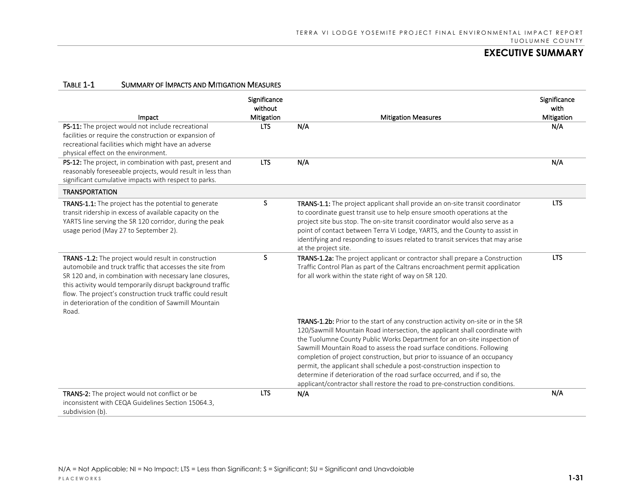| Impact                                                                                                                                                                                                                                                                                                                                                                      | Significance<br>without<br>Mitigation | <b>Mitigation Measures</b>                                                                                                                                                                                                                                                                                                                                                                                                                                                                                                                                                                                                             | Significance<br>with<br>Mitigation |
|-----------------------------------------------------------------------------------------------------------------------------------------------------------------------------------------------------------------------------------------------------------------------------------------------------------------------------------------------------------------------------|---------------------------------------|----------------------------------------------------------------------------------------------------------------------------------------------------------------------------------------------------------------------------------------------------------------------------------------------------------------------------------------------------------------------------------------------------------------------------------------------------------------------------------------------------------------------------------------------------------------------------------------------------------------------------------------|------------------------------------|
| PS-11: The project would not include recreational<br>facilities or require the construction or expansion of<br>recreational facilities which might have an adverse<br>physical effect on the environment.                                                                                                                                                                   | <b>LTS</b>                            | N/A                                                                                                                                                                                                                                                                                                                                                                                                                                                                                                                                                                                                                                    | N/A                                |
| PS-12: The project, in combination with past, present and<br>reasonably foreseeable projects, would result in less than<br>significant cumulative impacts with respect to parks.                                                                                                                                                                                            | <b>LTS</b>                            | N/A                                                                                                                                                                                                                                                                                                                                                                                                                                                                                                                                                                                                                                    | N/A                                |
| <b>TRANSPORTATION</b>                                                                                                                                                                                                                                                                                                                                                       |                                       |                                                                                                                                                                                                                                                                                                                                                                                                                                                                                                                                                                                                                                        |                                    |
| TRANS-1.1: The project has the potential to generate<br>transit ridership in excess of available capacity on the<br>YARTS line serving the SR 120 corridor, during the peak<br>usage period (May 27 to September 2).                                                                                                                                                        | S.                                    | TRANS-1.1: The project applicant shall provide an on-site transit coordinator<br>to coordinate guest transit use to help ensure smooth operations at the<br>project site bus stop. The on-site transit coordinator would also serve as a<br>point of contact between Terra Vi Lodge, YARTS, and the County to assist in<br>identifying and responding to issues related to transit services that may arise<br>at the project site.                                                                                                                                                                                                     | <b>LTS</b>                         |
| TRANS -1.2: The project would result in construction<br>automobile and truck traffic that accesses the site from<br>SR 120 and, in combination with necessary lane closures,<br>this activity would temporarily disrupt background traffic<br>flow. The project's construction truck traffic could result<br>in deterioration of the condition of Sawmill Mountain<br>Road. | S                                     | TRANS-1.2a: The project applicant or contractor shall prepare a Construction<br>Traffic Control Plan as part of the Caltrans encroachment permit application<br>for all work within the state right of way on SR 120.                                                                                                                                                                                                                                                                                                                                                                                                                  | <b>LTS</b>                         |
|                                                                                                                                                                                                                                                                                                                                                                             |                                       | TRANS-1.2b: Prior to the start of any construction activity on-site or in the SR<br>120/Sawmill Mountain Road intersection, the applicant shall coordinate with<br>the Tuolumne County Public Works Department for an on-site inspection of<br>Sawmill Mountain Road to assess the road surface conditions. Following<br>completion of project construction, but prior to issuance of an occupancy<br>permit, the applicant shall schedule a post-construction inspection to<br>determine if deterioration of the road surface occurred, and if so, the<br>applicant/contractor shall restore the road to pre-construction conditions. |                                    |
| TRANS-2: The project would not conflict or be<br>inconsistent with CEQA Guidelines Section 15064.3,<br>subdivision (b).                                                                                                                                                                                                                                                     | <b>LTS</b>                            | N/A                                                                                                                                                                                                                                                                                                                                                                                                                                                                                                                                                                                                                                    | N/A                                |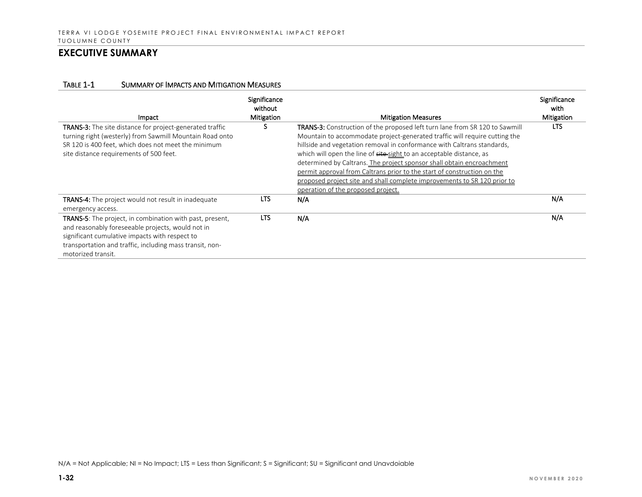| Impact                                                                                                                                                                                                                                                   | <b>Significance</b><br>without<br><b>Mitigation</b> | <b>Mitigation Measures</b>                                                                                                                                                                                                                                                                                                                                                                                                                                                                                                                                                         | Significance<br>with<br>Mitigation |
|----------------------------------------------------------------------------------------------------------------------------------------------------------------------------------------------------------------------------------------------------------|-----------------------------------------------------|------------------------------------------------------------------------------------------------------------------------------------------------------------------------------------------------------------------------------------------------------------------------------------------------------------------------------------------------------------------------------------------------------------------------------------------------------------------------------------------------------------------------------------------------------------------------------------|------------------------------------|
| TRANS-3: The site distance for project-generated traffic<br>turning right (westerly) from Sawmill Mountain Road onto<br>SR 120 is 400 feet, which does not meet the minimum<br>site distance requirements of 500 feet.                                   | S                                                   | TRANS-3: Construction of the proposed left turn lane from SR 120 to Sawmill<br>Mountain to accommodate project-generated traffic will require cutting the<br>hillside and vegetation removal in conformance with Caltrans standards,<br>which will open the line of site-sight to an acceptable distance, as<br>determined by Caltrans. The project sponsor shall obtain encroachment<br>permit approval from Caltrans prior to the start of construction on the<br>proposed project site and shall complete improvements to SR 120 prior to<br>operation of the proposed project. | <b>LTS</b>                         |
| <b>TRANS-4:</b> The project would not result in inadequate<br>emergency access.                                                                                                                                                                          | <b>LTS</b>                                          | N/A                                                                                                                                                                                                                                                                                                                                                                                                                                                                                                                                                                                | N/A                                |
| <b>TRANS-5:</b> The project, in combination with past, present,<br>and reasonably foreseeable projects, would not in<br>significant cumulative impacts with respect to<br>transportation and traffic, including mass transit, non-<br>motorized transit. | LTS.                                                | N/A                                                                                                                                                                                                                                                                                                                                                                                                                                                                                                                                                                                | N/A                                |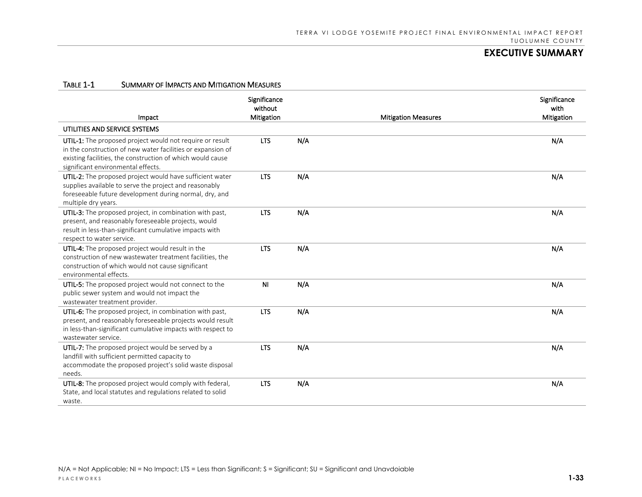| Impact                                                                                                                                                                                                                      | Significance<br>without<br><b>Mitigation</b> |     | <b>Mitigation Measures</b> | Significance<br>with<br>Mitigation |
|-----------------------------------------------------------------------------------------------------------------------------------------------------------------------------------------------------------------------------|----------------------------------------------|-----|----------------------------|------------------------------------|
| UTILITIES AND SERVICE SYSTEMS                                                                                                                                                                                               |                                              |     |                            |                                    |
| UTIL-1: The proposed project would not require or result<br>in the construction of new water facilities or expansion of<br>existing facilities, the construction of which would cause<br>significant environmental effects. | <b>LTS</b>                                   | N/A |                            | N/A                                |
| UTIL-2: The proposed project would have sufficient water<br>supplies available to serve the project and reasonably<br>foreseeable future development during normal, dry, and<br>multiple dry years.                         | <b>LTS</b>                                   | N/A |                            | N/A                                |
| UTIL-3: The proposed project, in combination with past,<br>present, and reasonably foreseeable projects, would<br>result in less-than-significant cumulative impacts with<br>respect to water service.                      | <b>LTS</b>                                   | N/A |                            | N/A                                |
| UTIL-4: The proposed project would result in the<br>construction of new wastewater treatment facilities, the<br>construction of which would not cause significant<br>environmental effects.                                 | <b>LTS</b>                                   | N/A |                            | N/A                                |
| UTIL-5: The proposed project would not connect to the<br>public sewer system and would not impact the<br>wastewater treatment provider.                                                                                     | N <sub>1</sub>                               | N/A |                            | N/A                                |
| UTIL-6: The proposed project, in combination with past,<br>present, and reasonably foreseeable projects would result<br>in less-than-significant cumulative impacts with respect to<br>wastewater service.                  | <b>LTS</b>                                   | N/A |                            | N/A                                |
| UTIL-7: The proposed project would be served by a<br>landfill with sufficient permitted capacity to<br>accommodate the proposed project's solid waste disposal<br>needs.                                                    | <b>LTS</b>                                   | N/A |                            | N/A                                |
| UTIL-8: The proposed project would comply with federal,<br>State, and local statutes and regulations related to solid<br>waste.                                                                                             | <b>LTS</b>                                   | N/A |                            | N/A                                |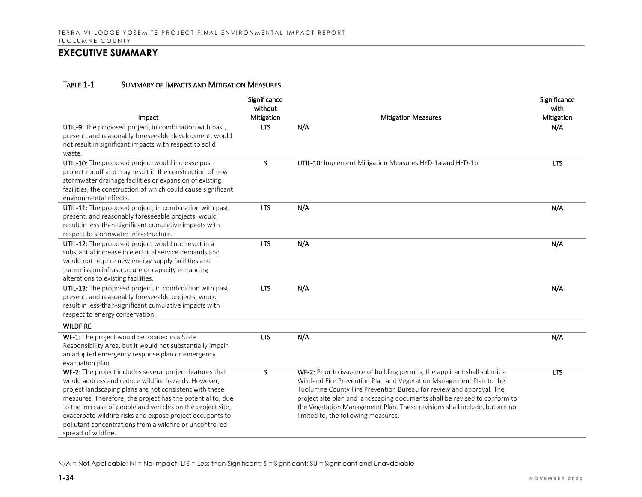#### TABLE 1-1 SUMMARY OF IMPACTS AND MITIGATION MEASURES

| Impact                                                                                                                                                                                                                                                                                                                                                                                                                                                  | Significance<br>without<br>Mitigation | <b>Mitigation Measures</b>                                                                                                                                                                                                                                                                                                                                                                                                 | Significance<br>with<br>Mitigation |
|---------------------------------------------------------------------------------------------------------------------------------------------------------------------------------------------------------------------------------------------------------------------------------------------------------------------------------------------------------------------------------------------------------------------------------------------------------|---------------------------------------|----------------------------------------------------------------------------------------------------------------------------------------------------------------------------------------------------------------------------------------------------------------------------------------------------------------------------------------------------------------------------------------------------------------------------|------------------------------------|
| UTIL-9: The proposed project, in combination with past,<br>present, and reasonably foreseeable development, would<br>not result in significant impacts with respect to solid<br>waste.                                                                                                                                                                                                                                                                  | <b>LTS</b>                            | N/A                                                                                                                                                                                                                                                                                                                                                                                                                        | N/A                                |
| UTIL-10: The proposed project would increase post-<br>project runoff and may result in the construction of new<br>stormwater drainage facilities or expansion of existing<br>facilities, the construction of which could cause significant<br>environmental effects.                                                                                                                                                                                    | S.                                    | UTIL-10: Implement Mitigation Measures HYD-1a and HYD-1b.                                                                                                                                                                                                                                                                                                                                                                  | <b>LTS</b>                         |
| UTIL-11: The proposed project, in combination with past,<br>present, and reasonably foreseeable projects, would<br>result in less-than-significant cumulative impacts with<br>respect to stormwater infrastructure.                                                                                                                                                                                                                                     | <b>LTS</b>                            | N/A                                                                                                                                                                                                                                                                                                                                                                                                                        | N/A                                |
| UTIL-12: The proposed project would not result in a<br>substantial increase in electrical service demands and<br>would not require new energy supply facilities and<br>transmission infrastructure or capacity enhancing<br>alterations to existing facilities.                                                                                                                                                                                         | <b>LTS</b>                            | N/A                                                                                                                                                                                                                                                                                                                                                                                                                        | N/A                                |
| UTIL-13: The proposed project, in combination with past,<br>present, and reasonably foreseeable projects, would<br>result in less-than-significant cumulative impacts with<br>respect to energy conservation.                                                                                                                                                                                                                                           | <b>LTS</b>                            | N/A                                                                                                                                                                                                                                                                                                                                                                                                                        | N/A                                |
| <b>WILDFIRE</b>                                                                                                                                                                                                                                                                                                                                                                                                                                         |                                       |                                                                                                                                                                                                                                                                                                                                                                                                                            |                                    |
| WF-1: The project would be located in a State<br>Responsibility Area, but it would not substantially impair<br>an adopted emergency response plan or emergency<br>evacuation plan.                                                                                                                                                                                                                                                                      | <b>LTS</b>                            | N/A                                                                                                                                                                                                                                                                                                                                                                                                                        | N/A                                |
| WF-2: The project includes several project features that<br>would address and reduce wildfire hazards. However,<br>project landscaping plans are not consistent with these<br>measures. Therefore, the project has the potential to, due<br>to the increase of people and vehicles on the project site,<br>exacerbate wildfire risks and expose project occupants to<br>pollutant concentrations from a wildfire or uncontrolled<br>spread of wildfire. | <sub>S</sub>                          | WF-2: Prior to issuance of building permits, the applicant shall submit a<br>Wildland Fire Prevention Plan and Vegetation Management Plan to the<br>Tuolumne County Fire Prevention Bureau for review and approval. The<br>project site plan and landscaping documents shall be revised to conform to<br>the Vegetation Management Plan. These revisions shall include, but are not<br>limited to, the following measures: | <b>LTS</b>                         |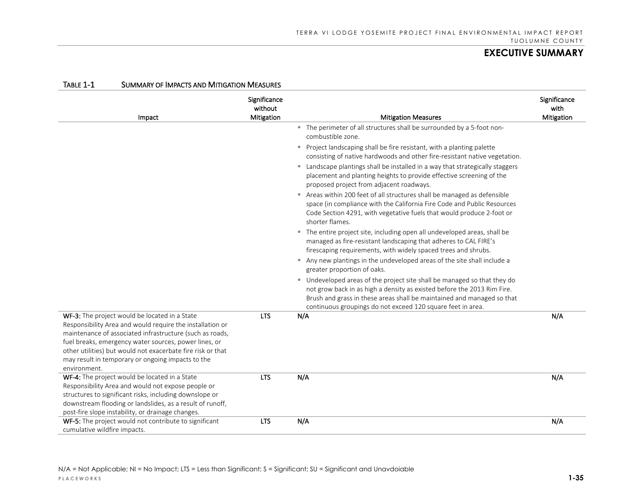| IADLE I-T                    | <b>SUMINANT OF IMPACTS AND IVILIGATION IVIEASONES</b>                                                                                                                                                                                                                                                                                               |                                       |                                                                                                                                                                                                                                                                                              |                                    |
|------------------------------|-----------------------------------------------------------------------------------------------------------------------------------------------------------------------------------------------------------------------------------------------------------------------------------------------------------------------------------------------------|---------------------------------------|----------------------------------------------------------------------------------------------------------------------------------------------------------------------------------------------------------------------------------------------------------------------------------------------|------------------------------------|
|                              | Impact                                                                                                                                                                                                                                                                                                                                              | Significance<br>without<br>Mitigation | <b>Mitigation Measures</b>                                                                                                                                                                                                                                                                   | Significance<br>with<br>Mitigation |
|                              |                                                                                                                                                                                                                                                                                                                                                     |                                       | " The perimeter of all structures shall be surrounded by a 5-foot non-<br>combustible zone.                                                                                                                                                                                                  |                                    |
|                              |                                                                                                                                                                                                                                                                                                                                                     |                                       | Project landscaping shall be fire resistant, with a planting palette<br>consisting of native hardwoods and other fire-resistant native vegetation.                                                                                                                                           |                                    |
|                              |                                                                                                                                                                                                                                                                                                                                                     |                                       | " Landscape plantings shall be installed in a way that strategically staggers<br>placement and planting heights to provide effective screening of the<br>proposed project from adjacent roadways.                                                                                            |                                    |
|                              |                                                                                                                                                                                                                                                                                                                                                     |                                       | Areas within 200 feet of all structures shall be managed as defensible<br>space (in compliance with the California Fire Code and Public Resources<br>Code Section 4291, with vegetative fuels that would produce 2-foot or<br>shorter flames.                                                |                                    |
|                              |                                                                                                                                                                                                                                                                                                                                                     |                                       | " The entire project site, including open all undeveloped areas, shall be<br>managed as fire-resistant landscaping that adheres to CAL FIRE's<br>firescaping requirements, with widely spaced trees and shrubs.                                                                              |                                    |
|                              |                                                                                                                                                                                                                                                                                                                                                     |                                       | Any new plantings in the undeveloped areas of the site shall include a<br>greater proportion of oaks.                                                                                                                                                                                        |                                    |
|                              |                                                                                                                                                                                                                                                                                                                                                     |                                       | " Undeveloped areas of the project site shall be managed so that they do<br>not grow back in as high a density as existed before the 2013 Rim Fire.<br>Brush and grass in these areas shall be maintained and managed so that<br>continuous groupings do not exceed 120 square feet in area. |                                    |
| environment.                 | WF-3: The project would be located in a State<br>Responsibility Area and would require the installation or<br>maintenance of associated infrastructure (such as roads,<br>fuel breaks, emergency water sources, power lines, or<br>other utilities) but would not exacerbate fire risk or that<br>may result in temporary or ongoing impacts to the | <b>LTS</b>                            | N/A                                                                                                                                                                                                                                                                                          | N/A                                |
|                              | WF-4: The project would be located in a State<br>Responsibility Area and would not expose people or<br>structures to significant risks, including downslope or<br>downstream flooding or landslides, as a result of runoff,<br>post-fire slope instability, or drainage changes.                                                                    | <b>LTS</b>                            | N/A                                                                                                                                                                                                                                                                                          | N/A                                |
| cumulative wildfire impacts. | WF-5: The project would not contribute to significant                                                                                                                                                                                                                                                                                               | <b>LTS</b>                            | N/A                                                                                                                                                                                                                                                                                          | N/A                                |